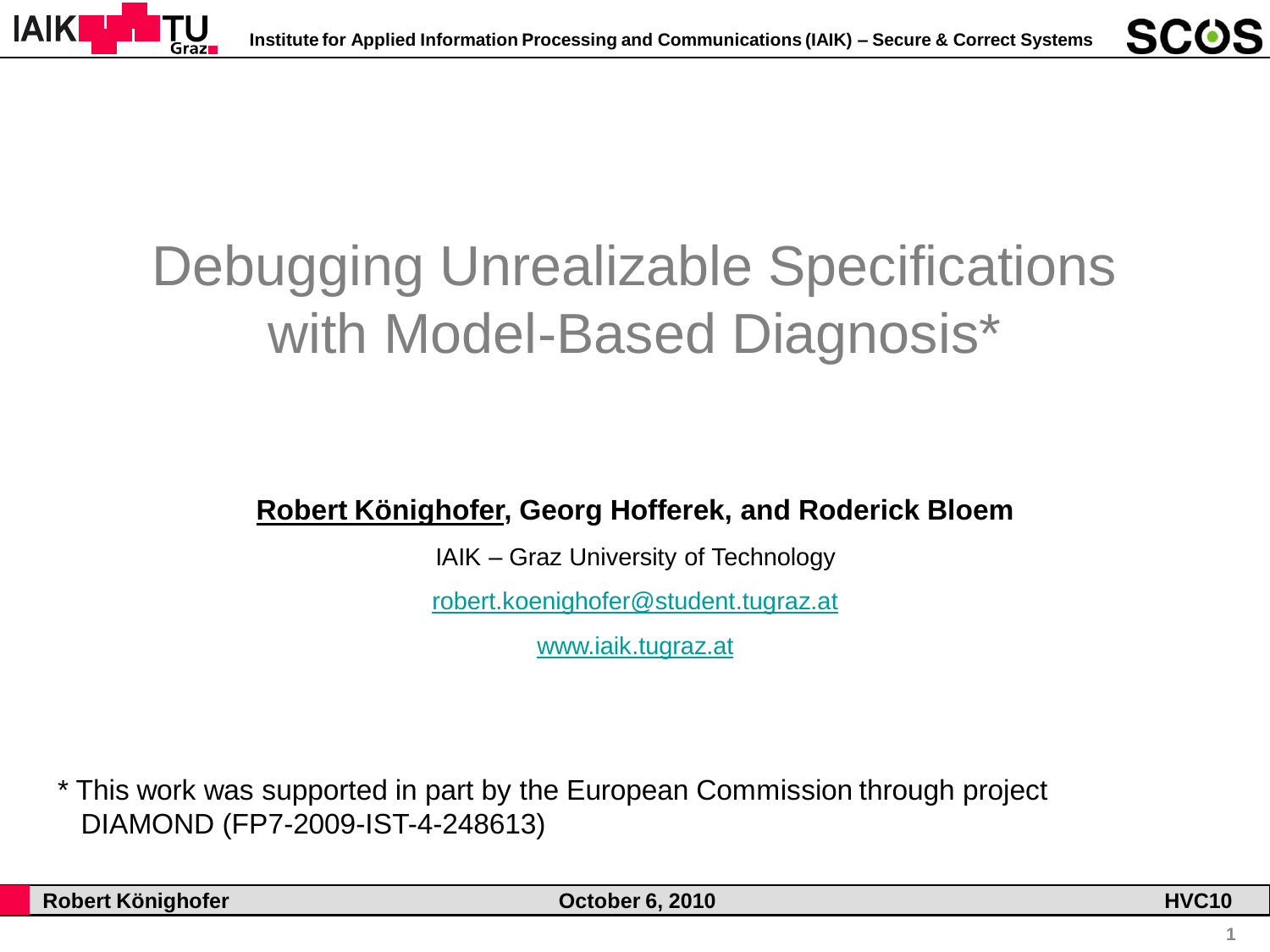

# Debugging Unrealizable Specifications with Model-Based Diagnosis\*

#### **Robert Könighofer, Georg Hofferek, and Roderick Bloem**

IAIK – Graz University of Technology

[robert.koenighofer@student.tugraz.at](mailto:robert.koenighofer@student.tugraz.at)

[www.iaik.tugraz.at](http://www.iaik.tugraz.at/)

\* This work was supported in part by the European Commission through project DIAMOND (FP7-2009-IST-4-248613)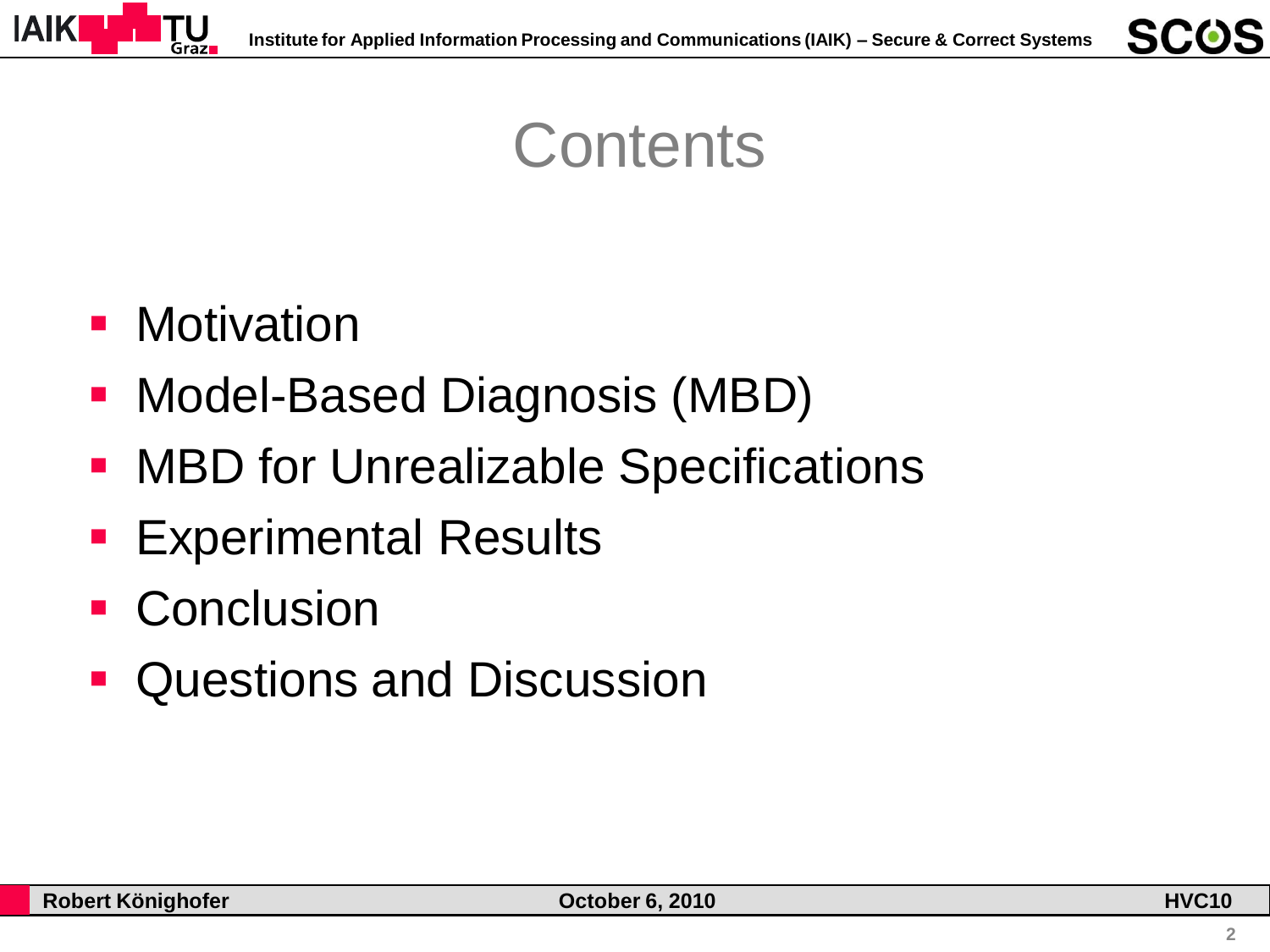

## **Contents**

#### **-** Motivation

- Model-Based Diagnosis (MBD)
- **MBD for Unrealizable Specifications**
- **Experimental Results**
- Conclusion
- **Questions and Discussion**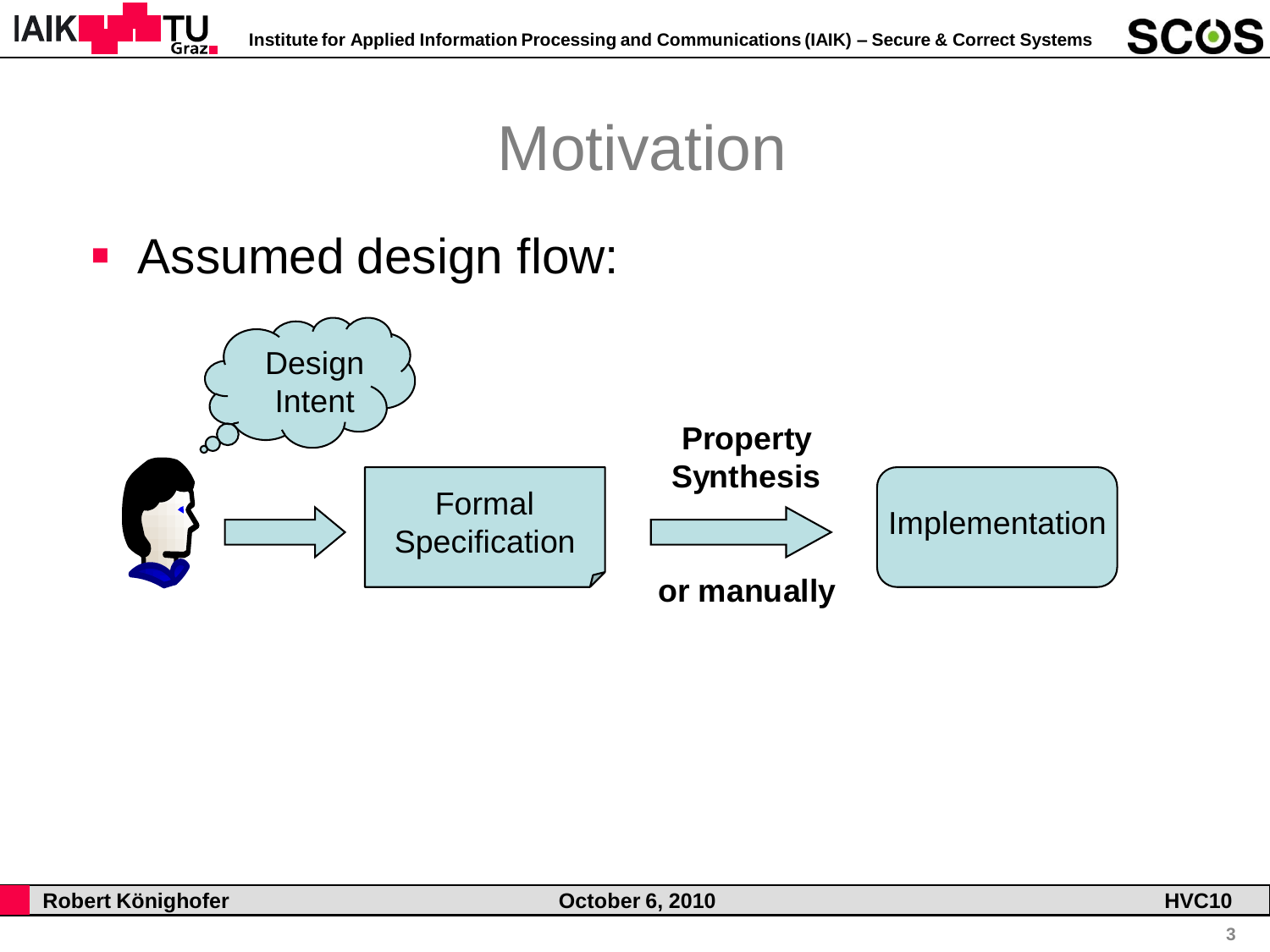

# **Motivation**

#### **-** Assumed design flow:



**SCOS**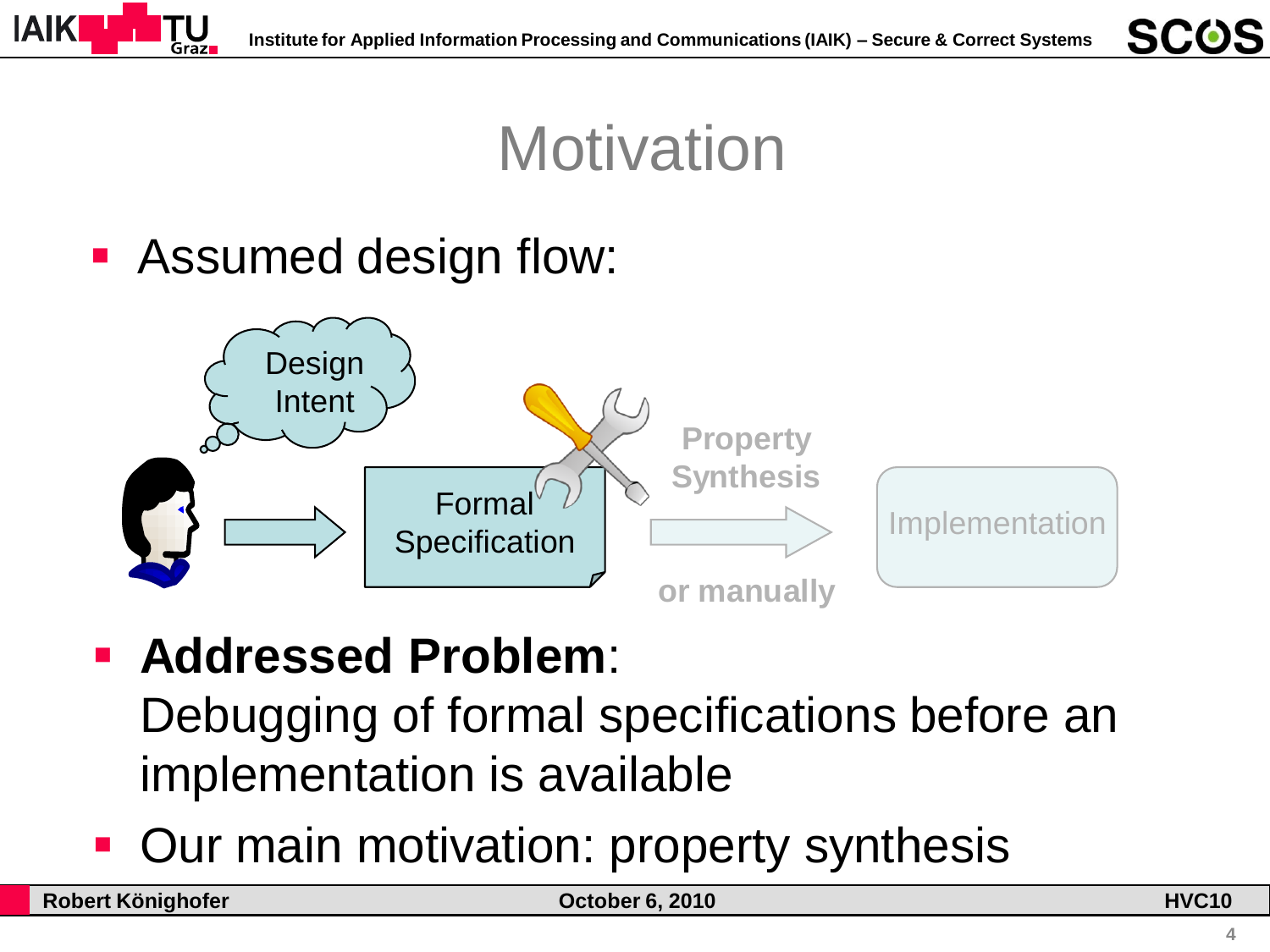

# **Motivation**

#### **-** Assumed design flow:



#### **Addressed Problem**:

Debugging of formal specifications before an implementation is available

Our main motivation: property synthesis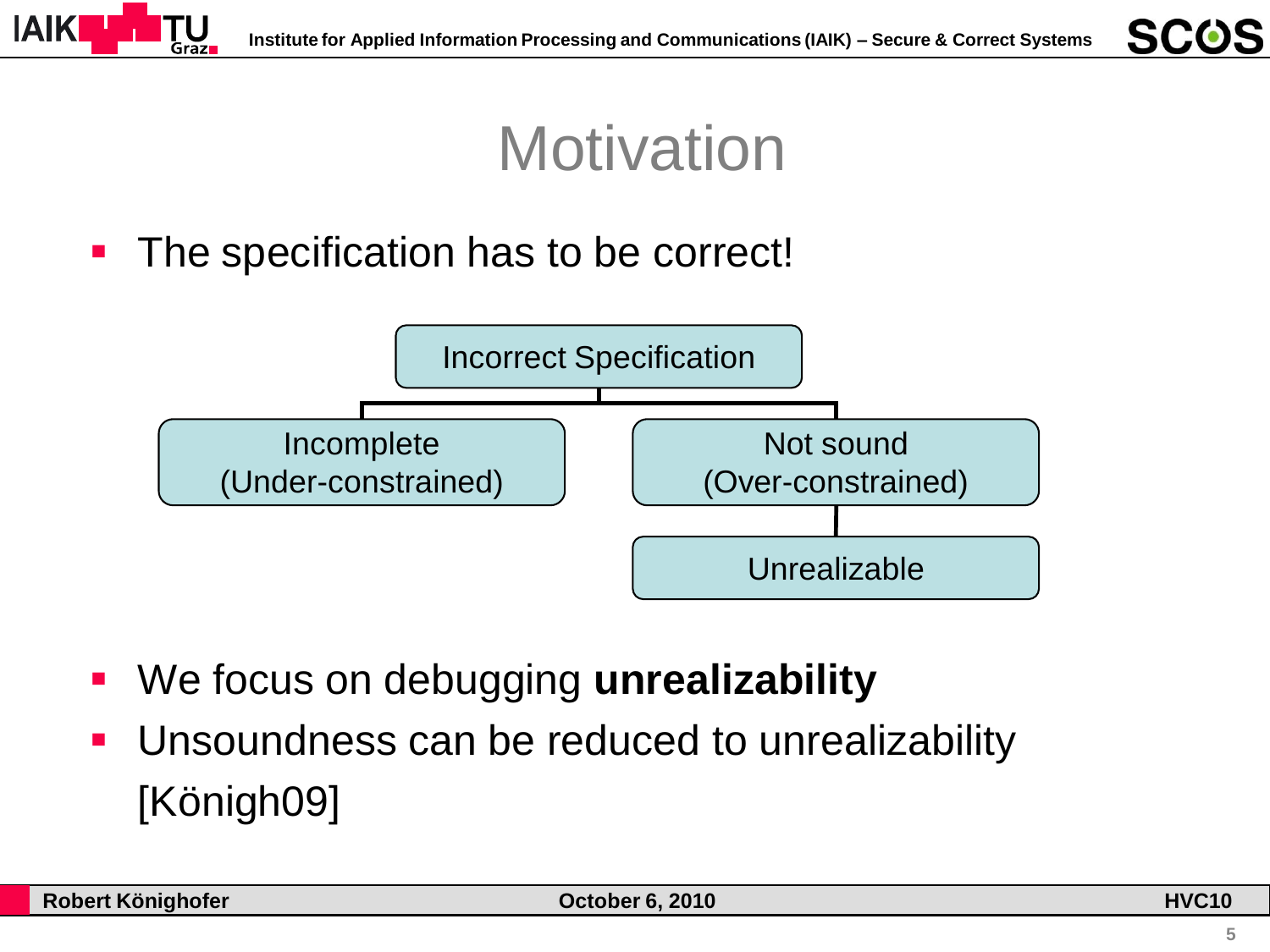

# **Motivation**

The specification has to be correct!



- We focus on debugging **unrealizability**
- Unsoundness can be reduced to unrealizability [Königh09]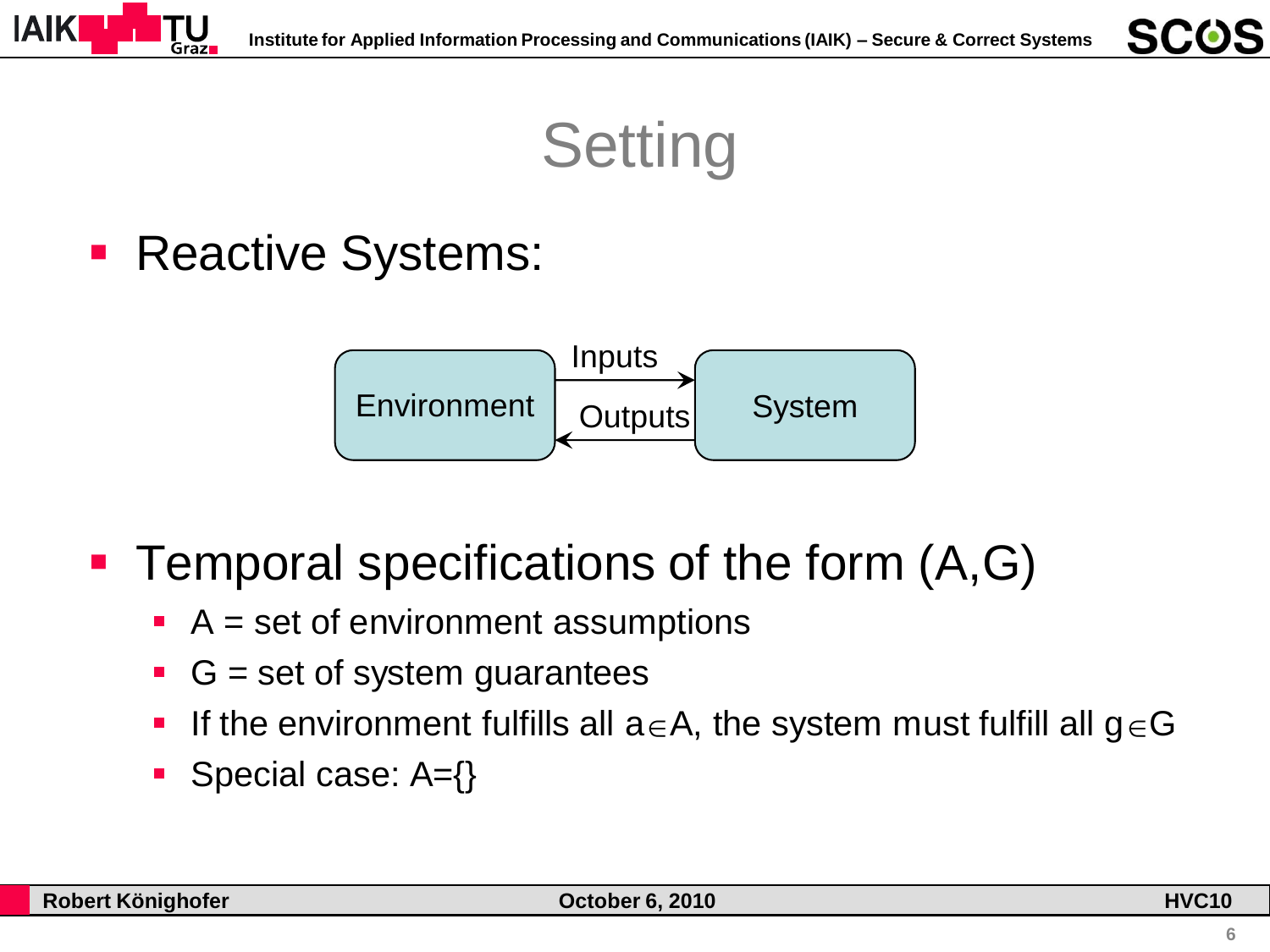

**Setting** 

**Reactive Systems:** 



**Temporal specifications of the form**  $(A, G)$ 

- $\blacksquare$  A = set of environment assumptions
- $\blacksquare$  G = set of system guarantees
- If the environment fulfills all  $a \in A$ , the system must fulfill all  $g \in G$
- Special case:  $A = \{\}$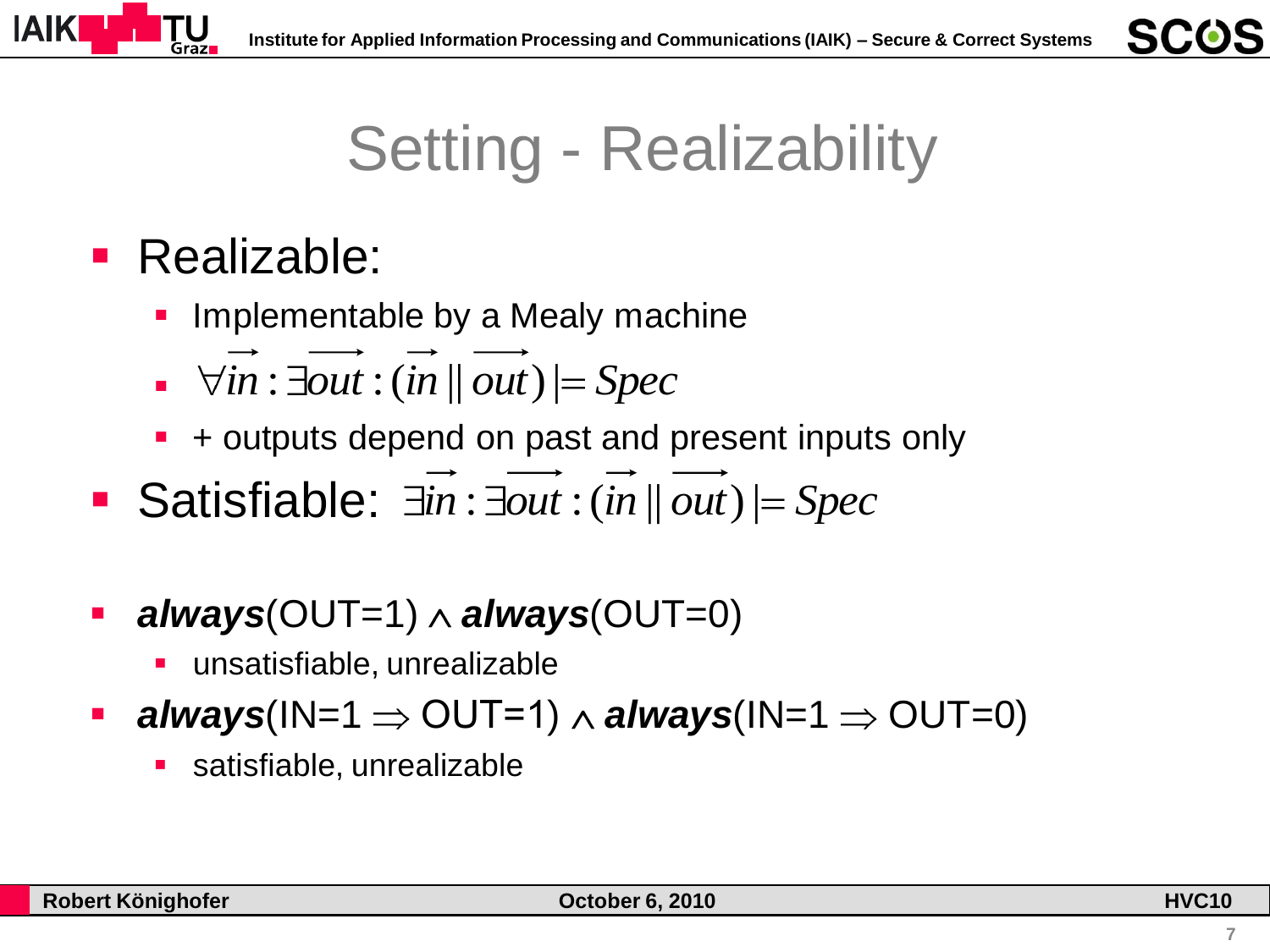

# Setting - Realizability

#### Realizable:

- Implementable by a Mealy machine
- $\rightarrow \forall \overline{\textit{in}} : \exists \textit{out} : (\textit{in} \parallel \textit{out}) \models \textit{Spec}$
- + outputs depend on past and present inputs only
- $\forall in : \exists out : (in \mathop{||} out) \models Spec$ <br>
  $\rightarrow$  outputs depend on past and present inputs<br>
 Satisfiable:  $\exists in : \exists out : (in \mathop{||} out) \models Spec$
- *always*(OUT=1) *always*(OUT=0)
	- unsatisfiable, unrealizable
- **always**( $IN=1 \Rightarrow OUT=1) \land always(N=1 \Rightarrow OUT=0)$ 
	- satisfiable, unrealizable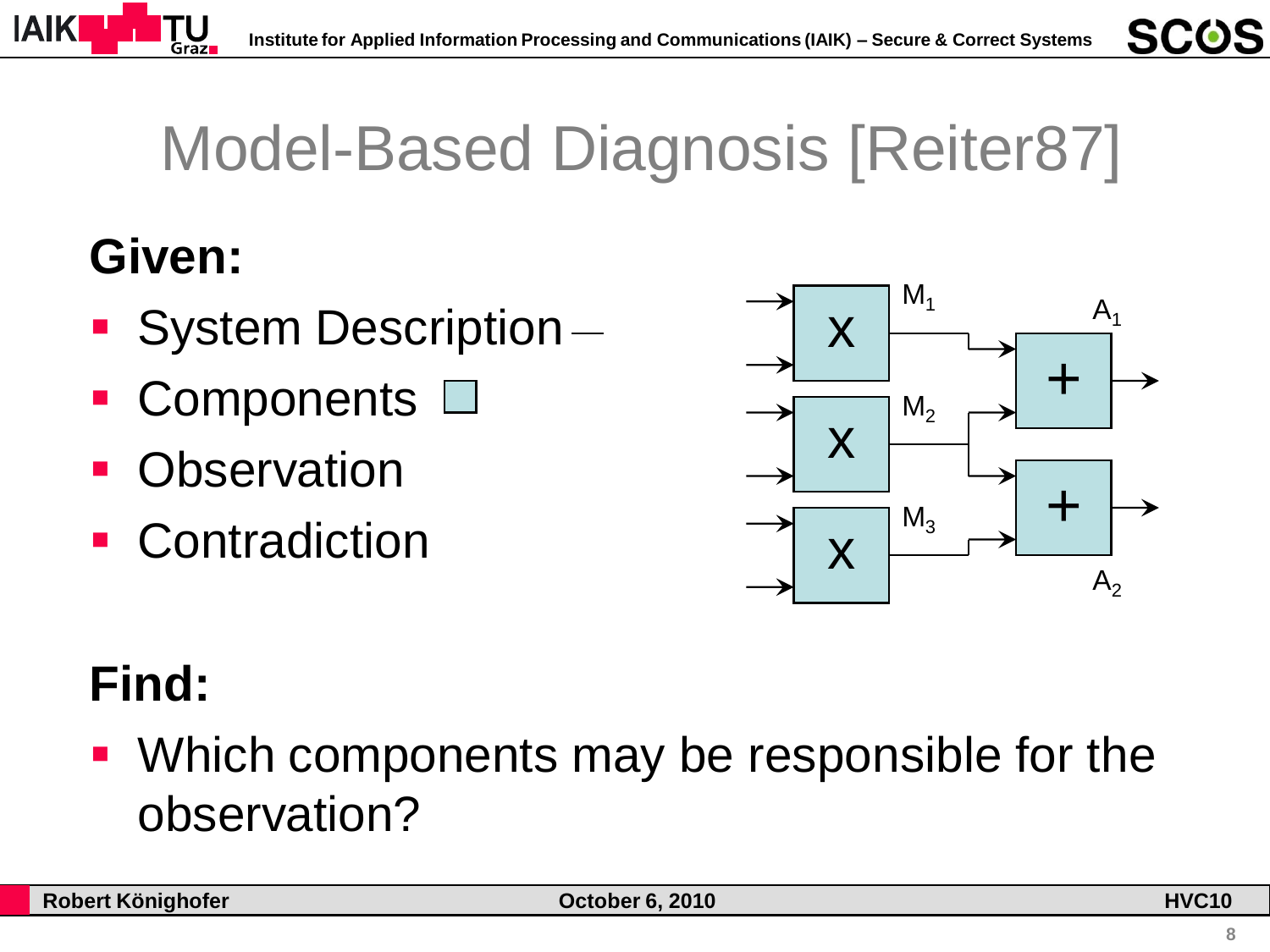

# Model-Based Diagnosis [Reiter87]

## **Given:**

- System Description-
- Components  $\square$
- **Observation**
- **Contradiction**



# **Find:**

• Which components may be responsible for the observation?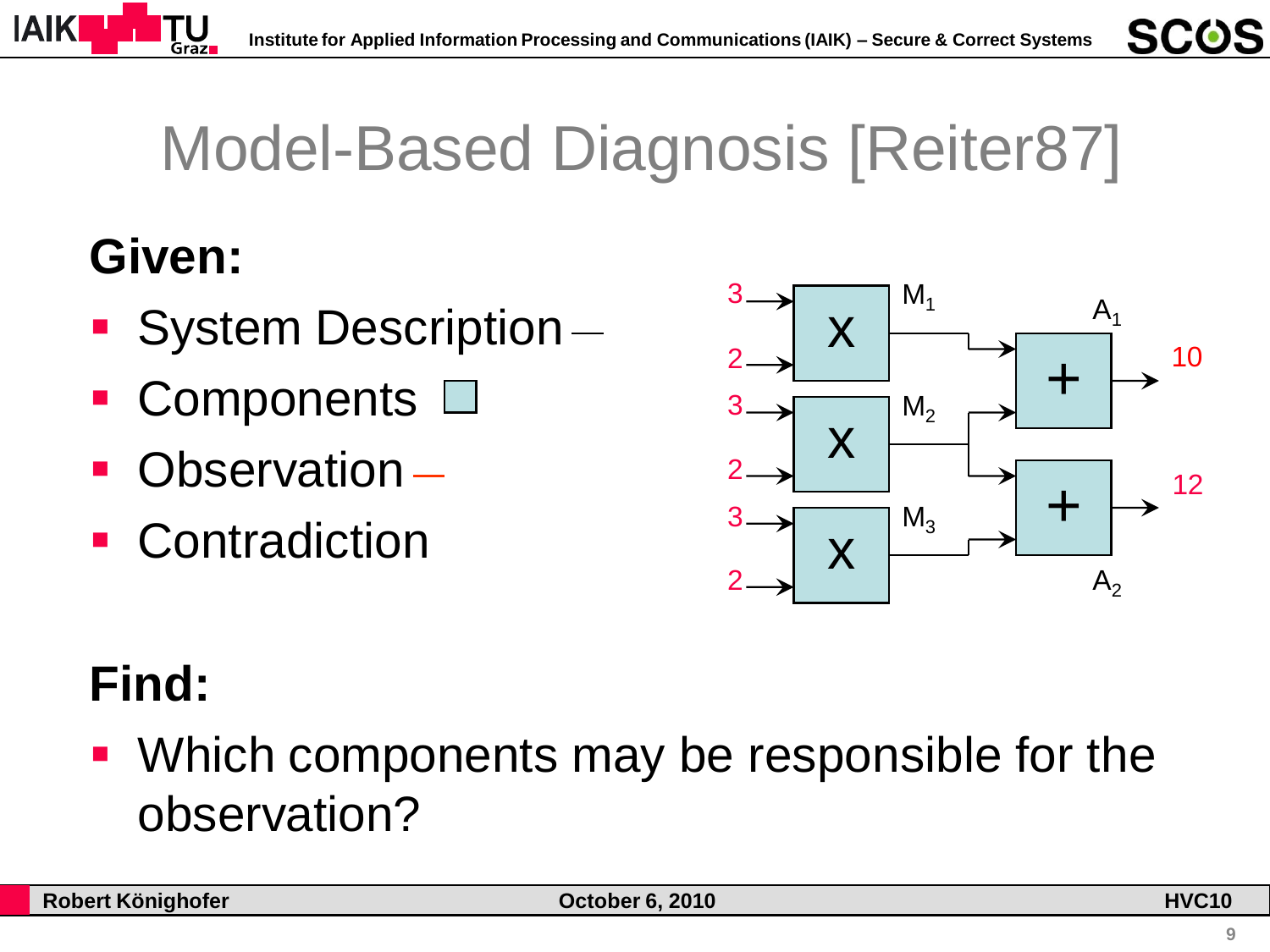

# Model-Based Diagnosis [Reiter87]

## **Given:**

- System Description-
- Components  $\square$
- Observation
- **Contradiction**



# **Find:**

• Which components may be responsible for the observation?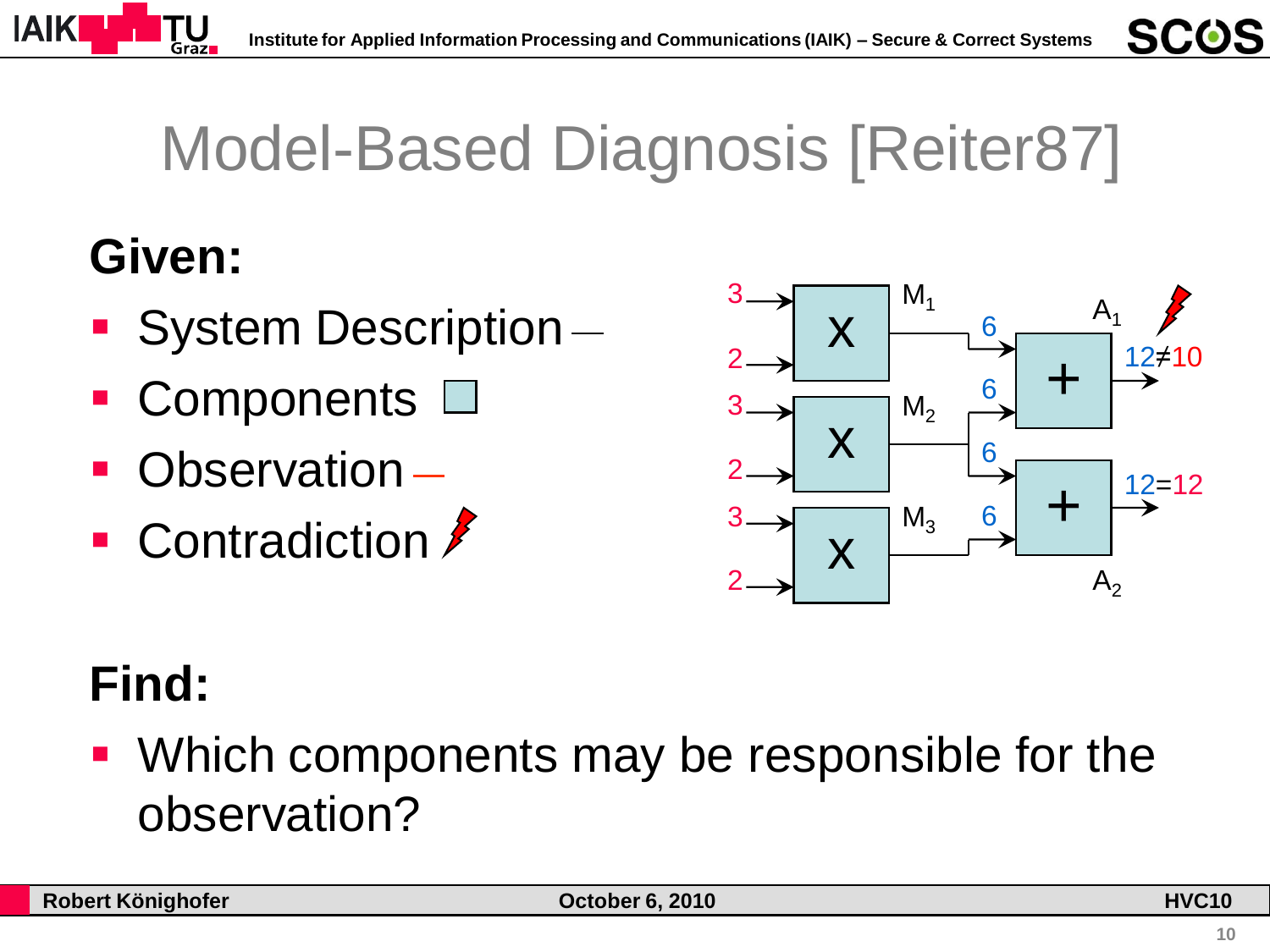

# Model-Based Diagnosis [Reiter87]

## **Given:**

- System Description-
- Components  $\square$
- Observation
- Contradiction  $\ell$



# **Find:**

• Which components may be responsible for the observation?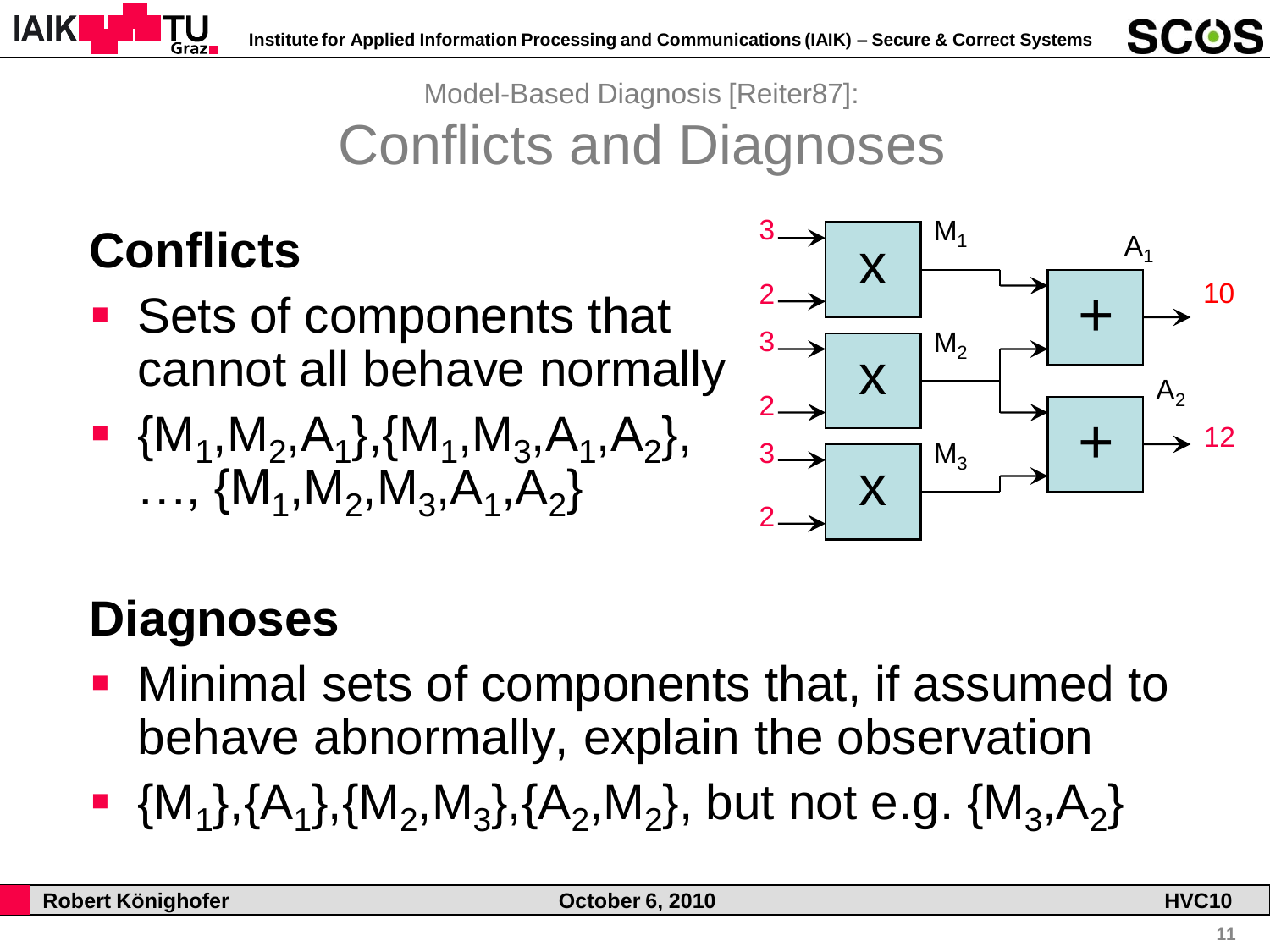

Model-Based Diagnosis [Reiter87]: Conflicts and Diagnoses

### **Conflicts**

- Sets of components that cannot all behave normally
- $\blacksquare$  {M<sub>1</sub>, M<sub>2</sub>, A<sub>1</sub>}, {M<sub>1</sub>, M<sub>3</sub>, A<sub>1</sub>, A<sub>2</sub>}, ...,  $\{M_1, M_2, M_3, A_1, A_2\}$



### **Diagnoses**

- Minimal sets of components that, if assumed to behave abnormally, explain the observation
- $\blacksquare$  {M<sub>1</sub>},{A<sub>1</sub>},{M<sub>2</sub>,M<sub>3</sub>},{A<sub>2</sub>,M<sub>2</sub>}, but not e.g. {M<sub>3</sub>,A<sub>2</sub>}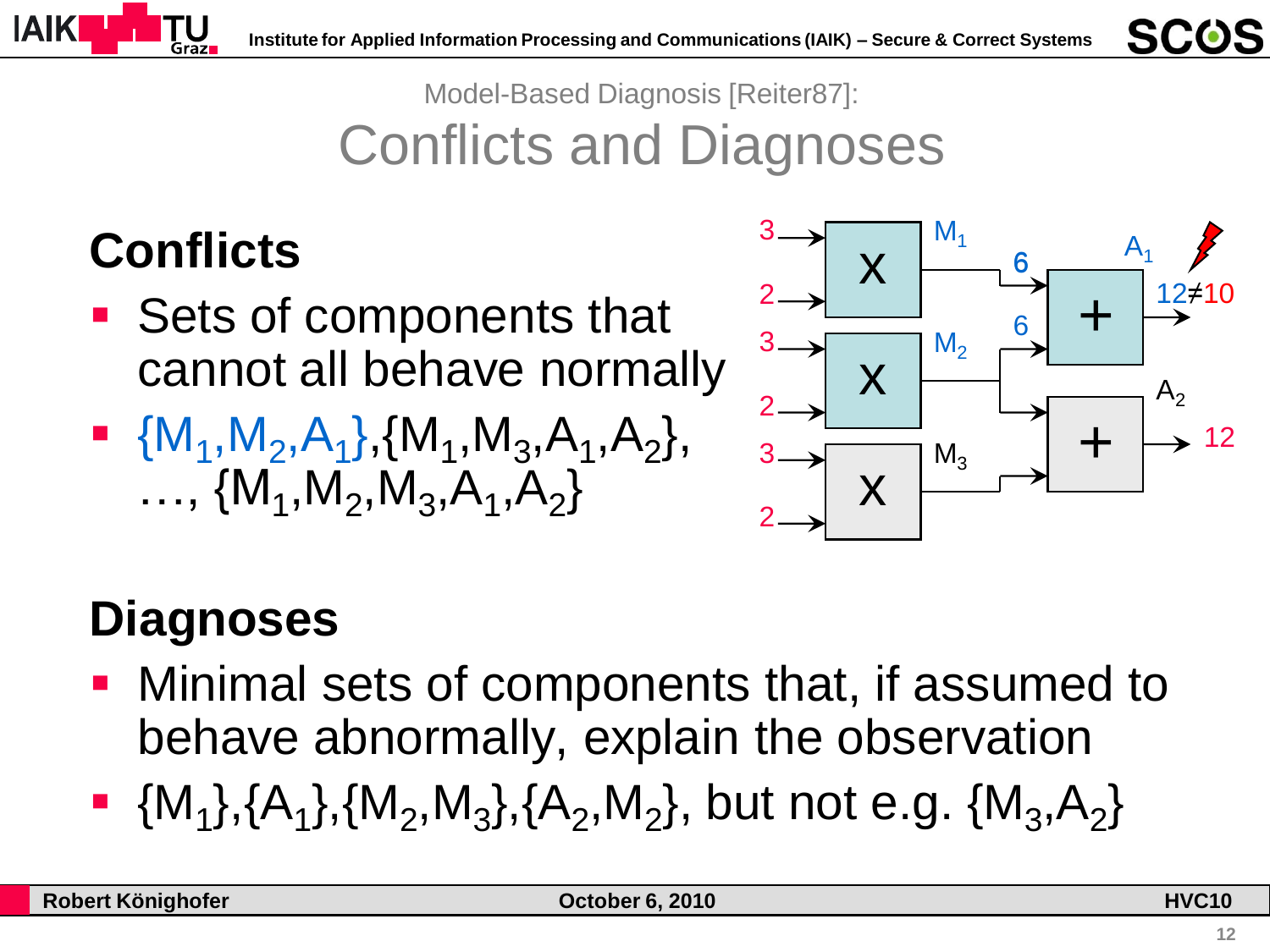

Model-Based Diagnosis [Reiter87]: Conflicts and Diagnoses

### **Conflicts**

- Sets of components that cannot all behave normally
- $\blacksquare$  {M<sub>1</sub>, M<sub>2</sub>, A<sub>1</sub>}, {M<sub>1</sub>, M<sub>3</sub>, A<sub>1</sub>, A<sub>2</sub>}, ...,  $\{M_1, M_2, M_3, A_1, A_2\}$



### **Diagnoses**

- Minimal sets of components that, if assumed to behave abnormally, explain the observation
- $\blacksquare$  {M<sub>1</sub>},{A<sub>1</sub>},{M<sub>2</sub>,M<sub>3</sub>},{A<sub>2</sub>,M<sub>2</sub>}, but not e.g. {M<sub>3</sub>,A<sub>2</sub>}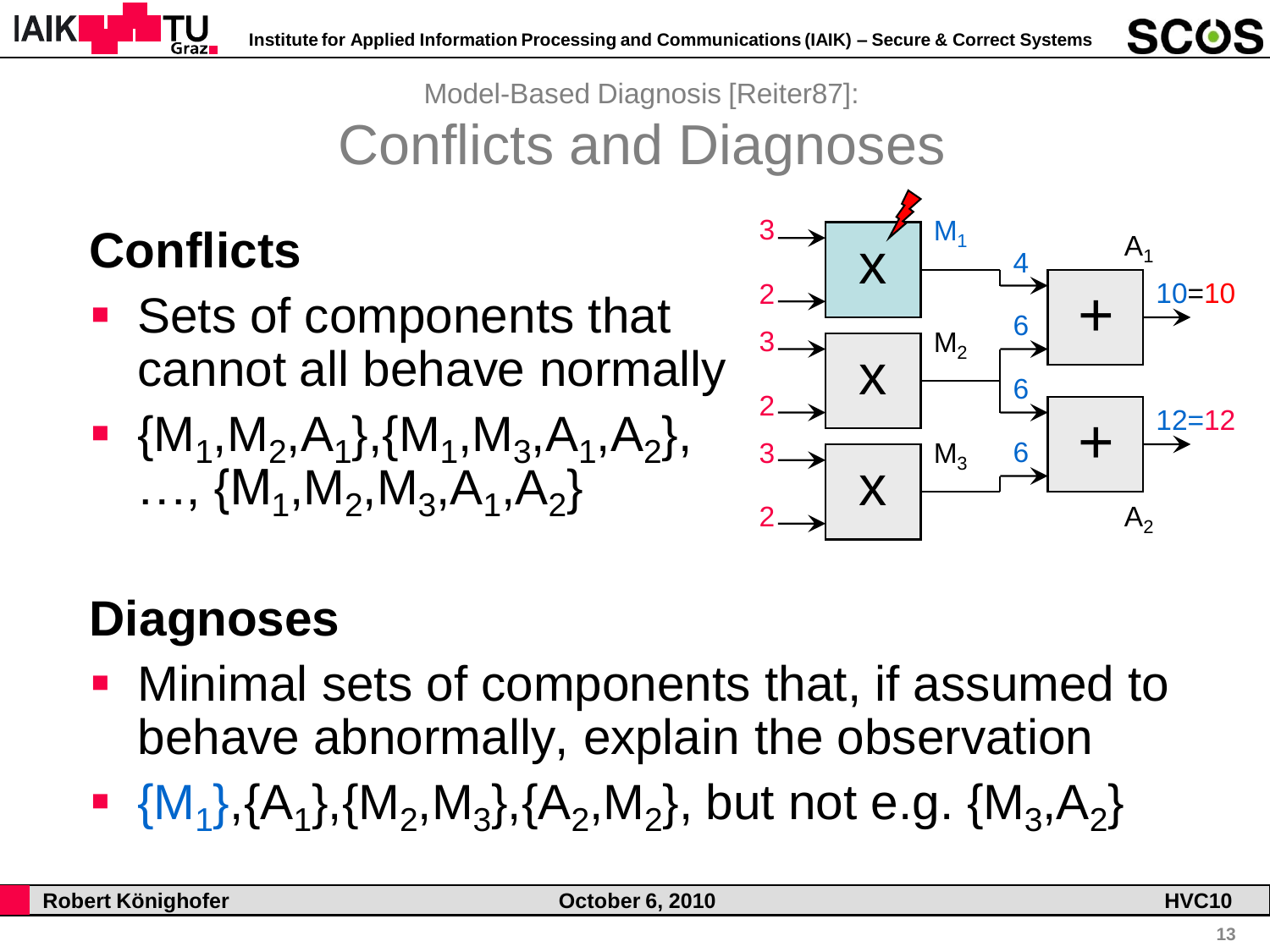

Model-Based Diagnosis [Reiter87]:

Conflicts and Diagnoses

### **Conflicts**

- Sets of components that cannot all behave normally
- $\blacksquare$  {M<sub>1</sub>, M<sub>2</sub>, A<sub>1</sub>}, {M<sub>1</sub>, M<sub>3</sub>, A<sub>1</sub>, A<sub>2</sub>}, ...,  $\{M_1, M_2, M_3, A_1, A_2\}$



#### **Diagnoses**

- Minimal sets of components that, if assumed to behave abnormally, explain the observation
- $\blacksquare \{M_1\}, \{A_1\}, \{M_2, M_3\}, \{A_2, M_2\}, \text{ but not e.g. } \{M_3, A_2\}$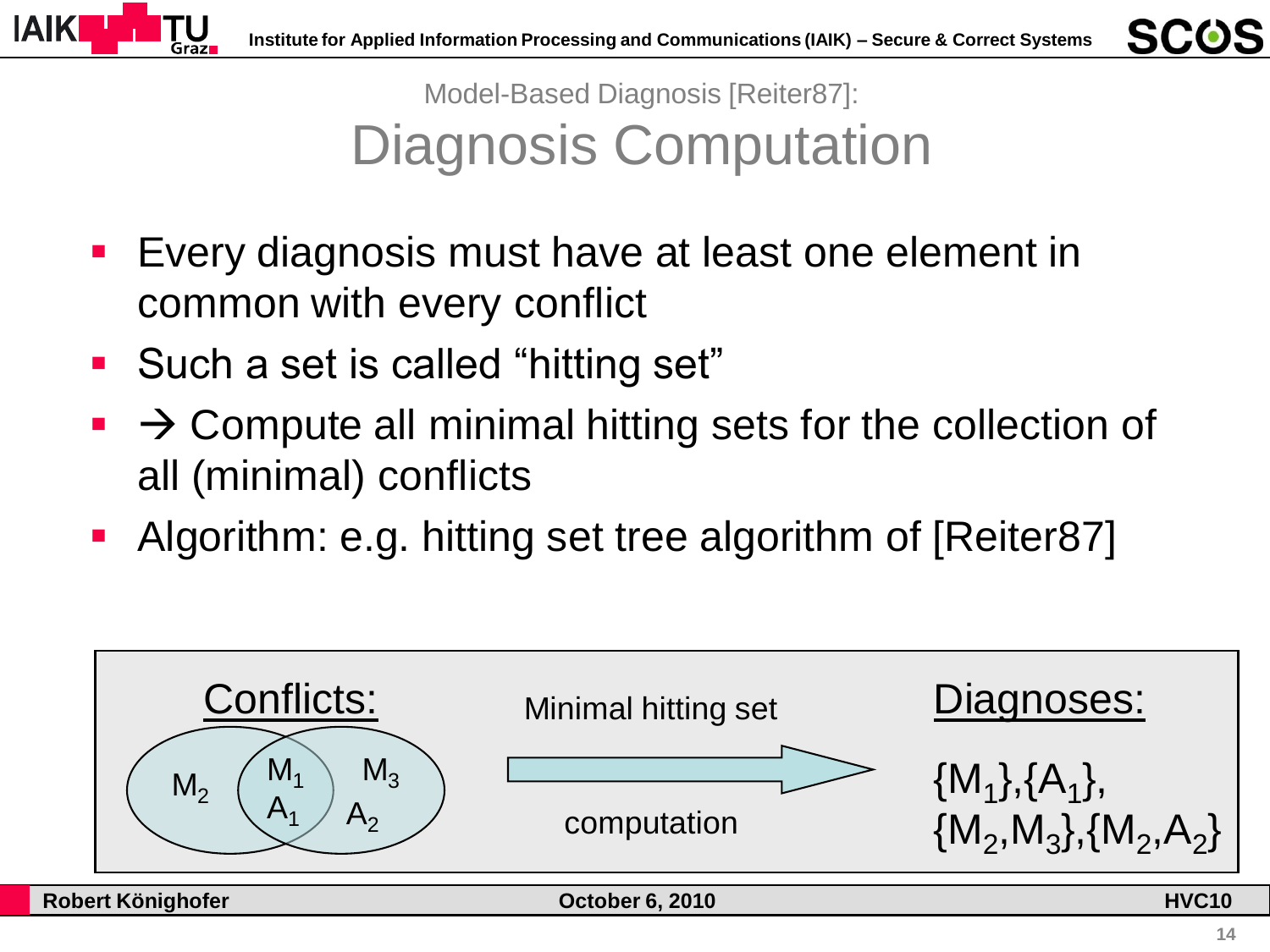

Model-Based Diagnosis [Reiter87]: Diagnosis Computation

- **E** Every diagnosis must have at least one element in common with every conflict
- Such a set is called "hitting set"
- $\rightarrow$  Compute all minimal hitting sets for the collection of all (minimal) conflicts
- Algorithm: e.g. hitting set tree algorithm of [Reiter87]

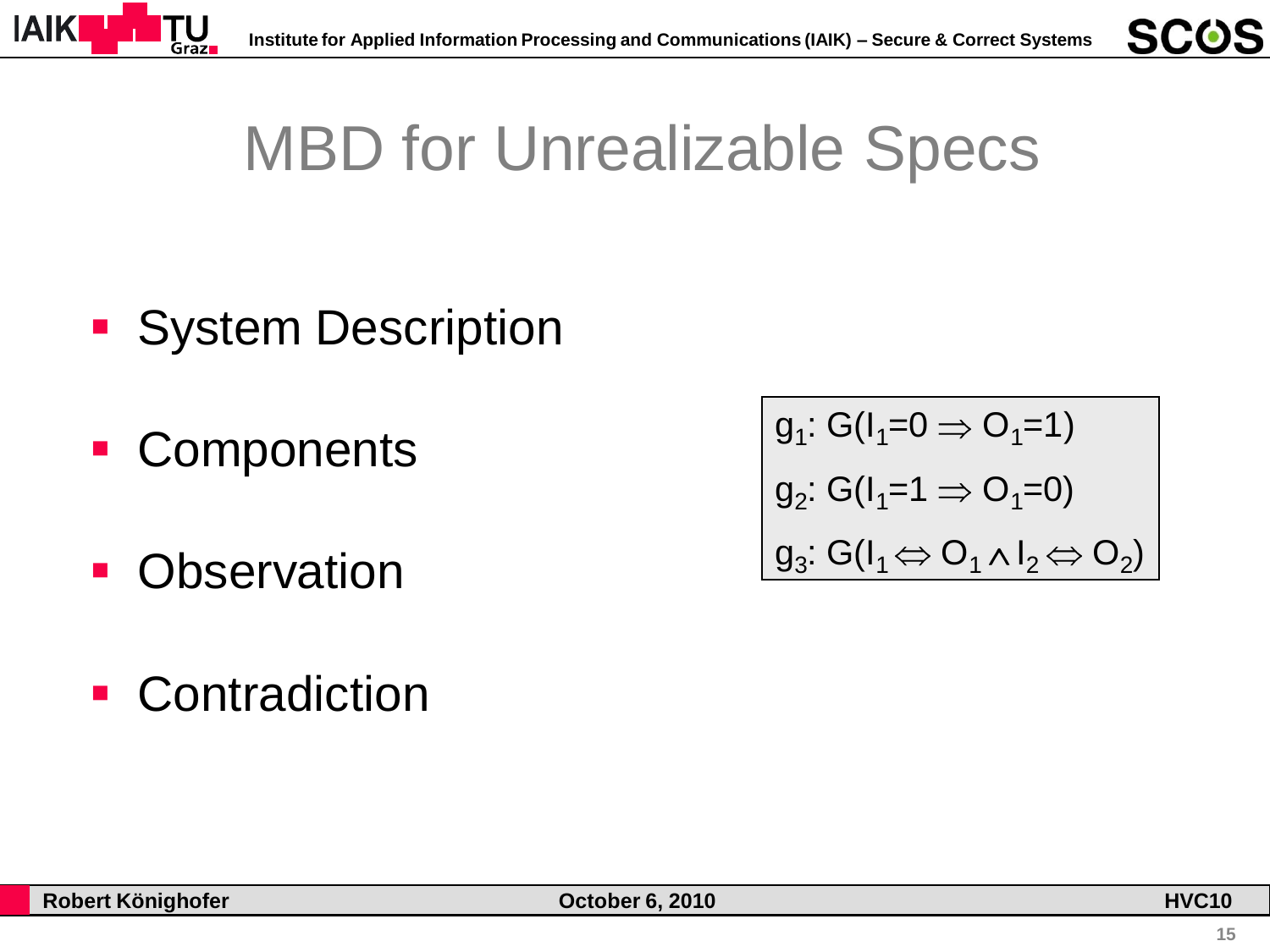

# MBD for Unrealizable Specs

- **System Description**
- **Components**
- **Observation**
- **Contradiction**

$$
\begin{vmatrix} g_1: G(I_1=0 \Rightarrow O_1=1) \\ g_2: G(I_1=1 \Rightarrow O_1=0) \\ g_3: G(I_1 \Leftrightarrow O_1 \wedge I_2 \Leftrightarrow O_2) \end{vmatrix}
$$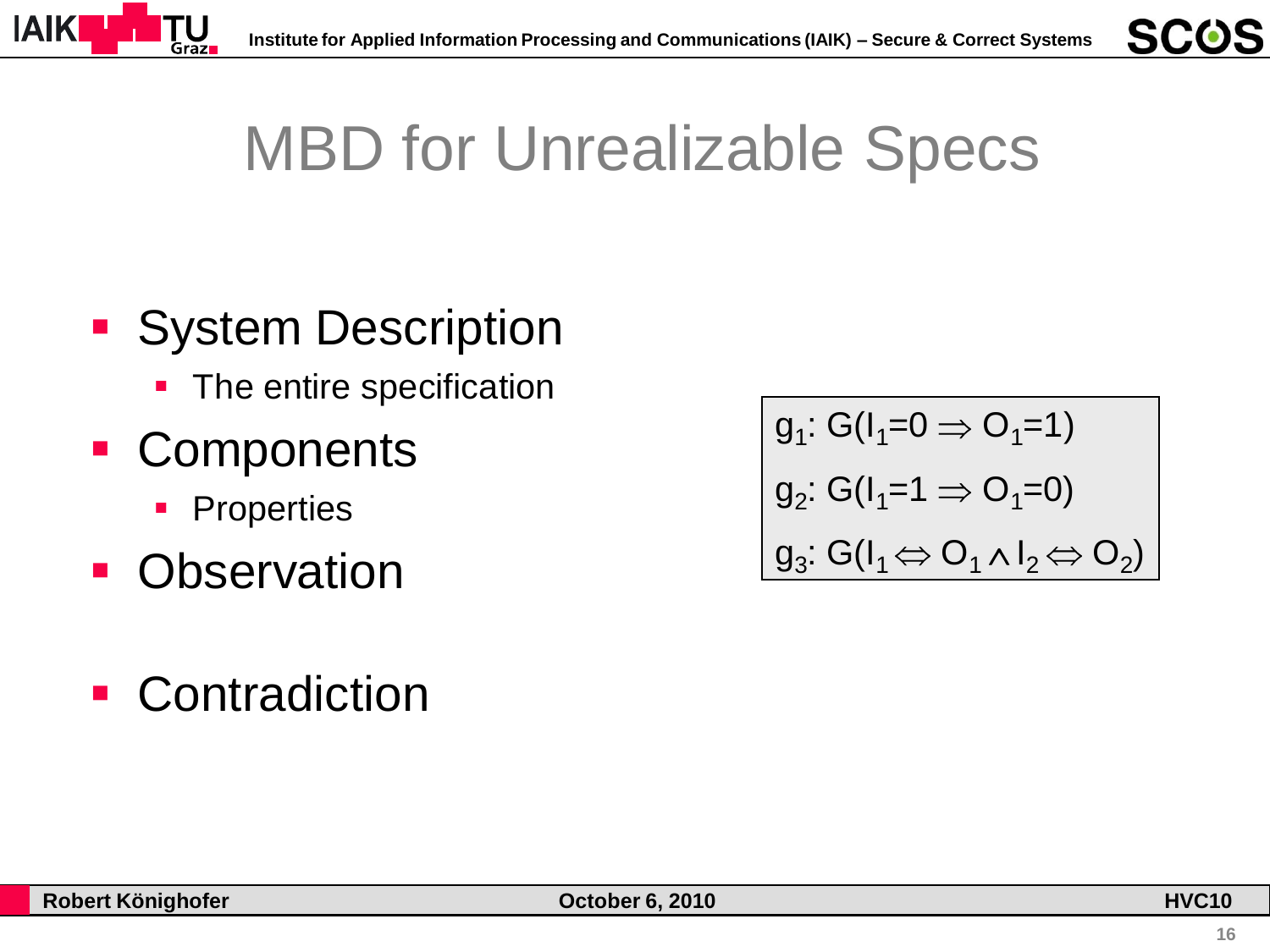

# MBD for Unrealizable Specs

### **System Description**

- The entire specification
- Components
	- **Properties**
- **Observation**
- **Contradiction**

$$
\begin{aligned}\n\mathbf{g}_1: G(\mathbf{l}_1=0 \Rightarrow \mathbf{O}_1=1) \\
\mathbf{g}_2: G(\mathbf{l}_1=1 \Rightarrow \mathbf{O}_1=0) \\
\mathbf{g}_3: G(\mathbf{l}_1 \Leftrightarrow \mathbf{O}_1 \wedge \mathbf{l}_2 \Leftrightarrow \mathbf{O}_2)\n\end{aligned}
$$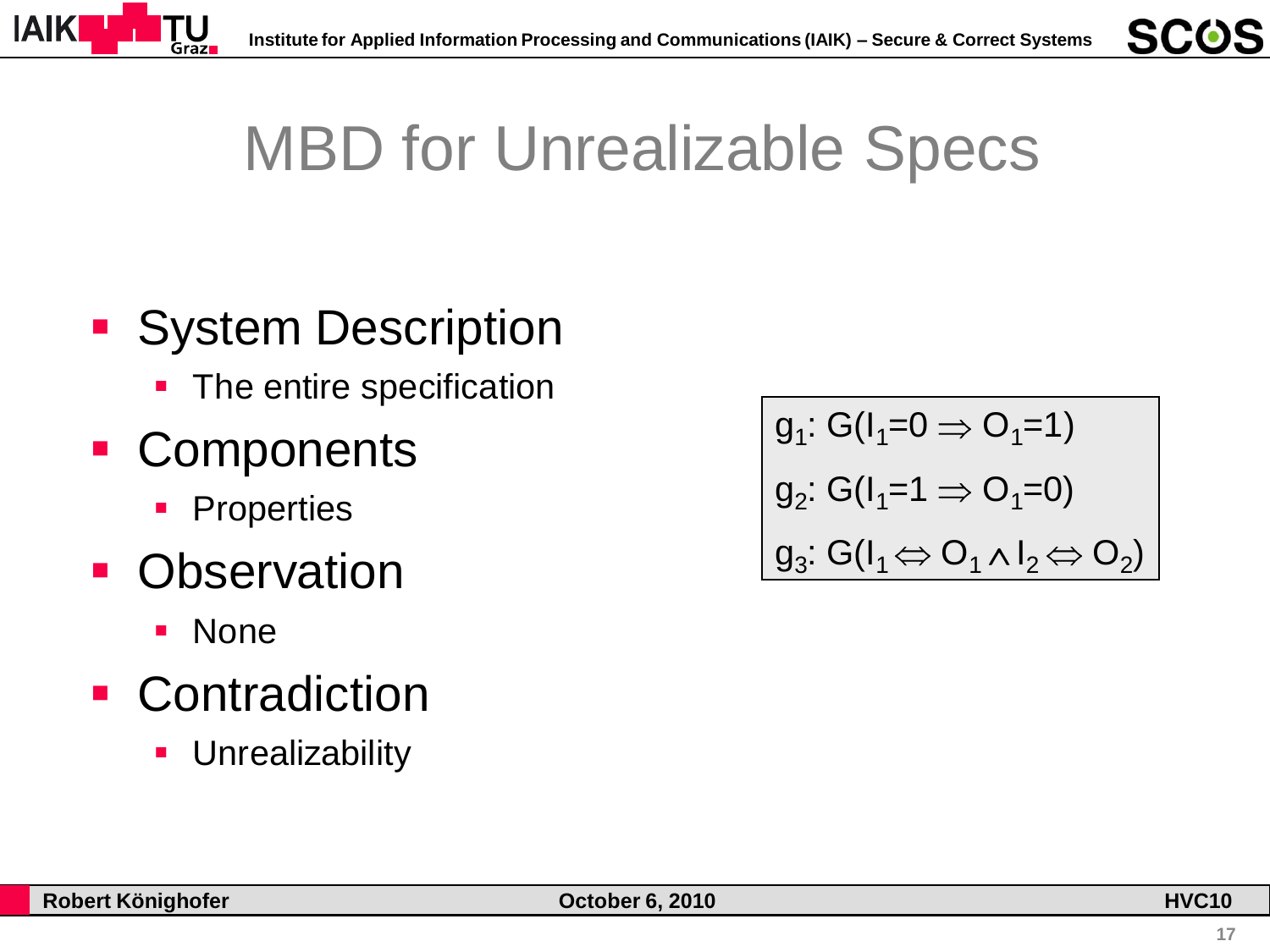

# MBD for Unrealizable Specs

### **System Description**

• The entire specification

### ■ Components

- **Properties**
- **Observation** 
	- **None**
- **Contradiction** 
	- **Unrealizability**

$$
\begin{aligned}\n\mathbf{g}_1: G(\mathbf{l}_1=0 \Rightarrow \mathbf{O}_1=1) \\
\mathbf{g}_2: G(\mathbf{l}_1=1 \Rightarrow \mathbf{O}_1=0) \\
\mathbf{g}_3: G(\mathbf{l}_1 \Leftrightarrow \mathbf{O}_1 \wedge \mathbf{l}_2 \Leftrightarrow \mathbf{O}_2)\n\end{aligned}
$$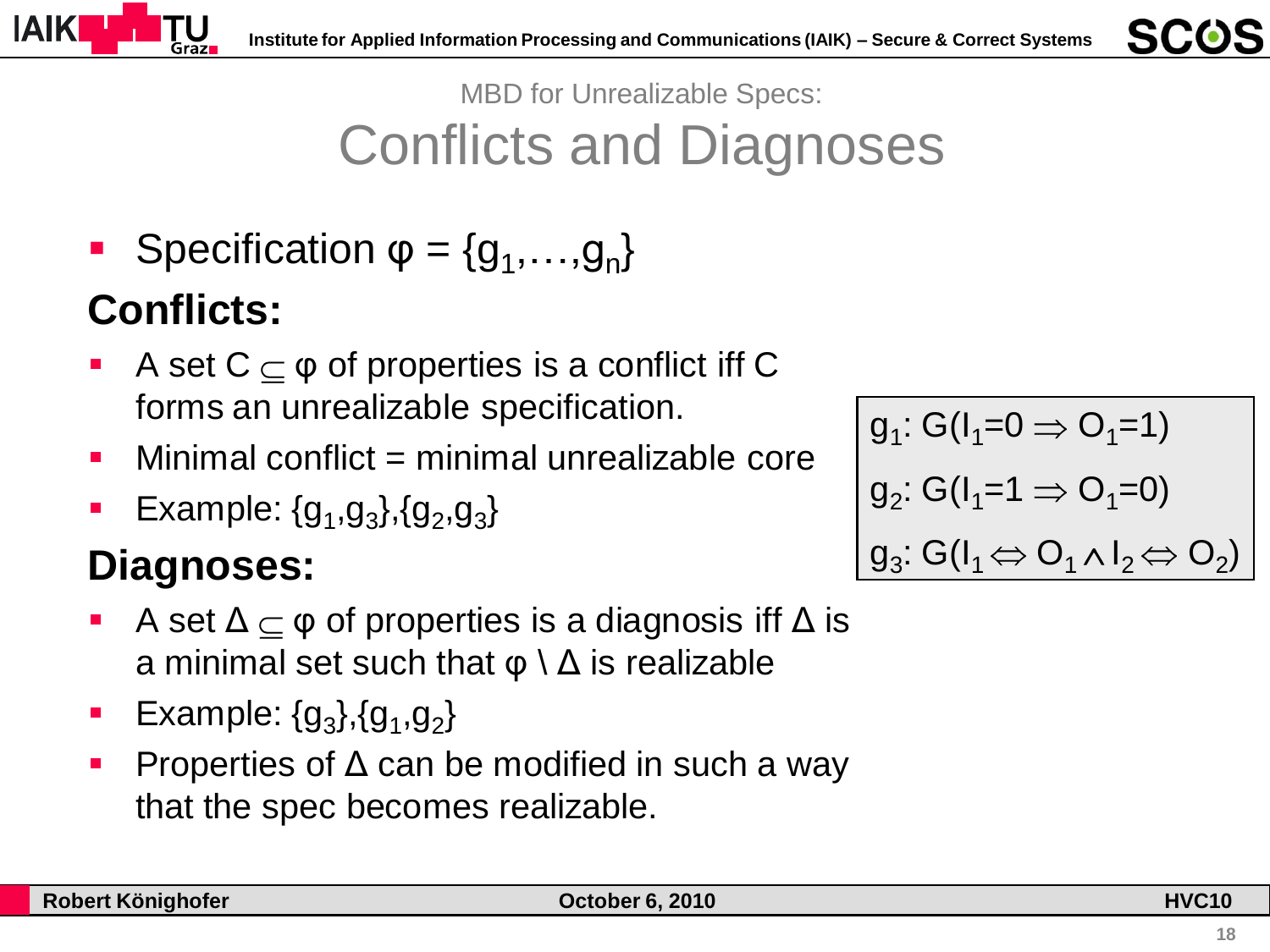



MBD for Unrealizable Specs: Conflicts and Diagnoses

**Specification**  $\varphi = \{g_1, \ldots, g_n\}$ 

#### **Conflicts:**

- A set  $C \subseteq \varphi$  of properties is a conflict iff C forms an unrealizable specification.
- $\blacksquare$  Minimal conflict  $\boldsymbol{=}$  minimal unrealizable core
- **Example:**  ${g_1, g_3}, {g_2, g_3}$

#### **Diagnoses:**

- A set  $\Delta \subseteq \varphi$  of properties is a diagnosis iff  $\Delta$  is a minimal set such that  $\varphi \setminus \Delta$  is realizable
- **Example:**  ${g_3}, {g_1}, {g_2}$
- **Properties of**  $\Delta$  **can be modified in such a way** that the spec becomes realizable.

$$
g_1: G(I_1=0 \Rightarrow O_1=1)
$$
  
\n
$$
g_2: G(I_1=1 \Rightarrow O_1=0)
$$
  
\n
$$
g_3: G(I_1 \Leftrightarrow O_1 \wedge I_2 \Leftrightarrow O_2)
$$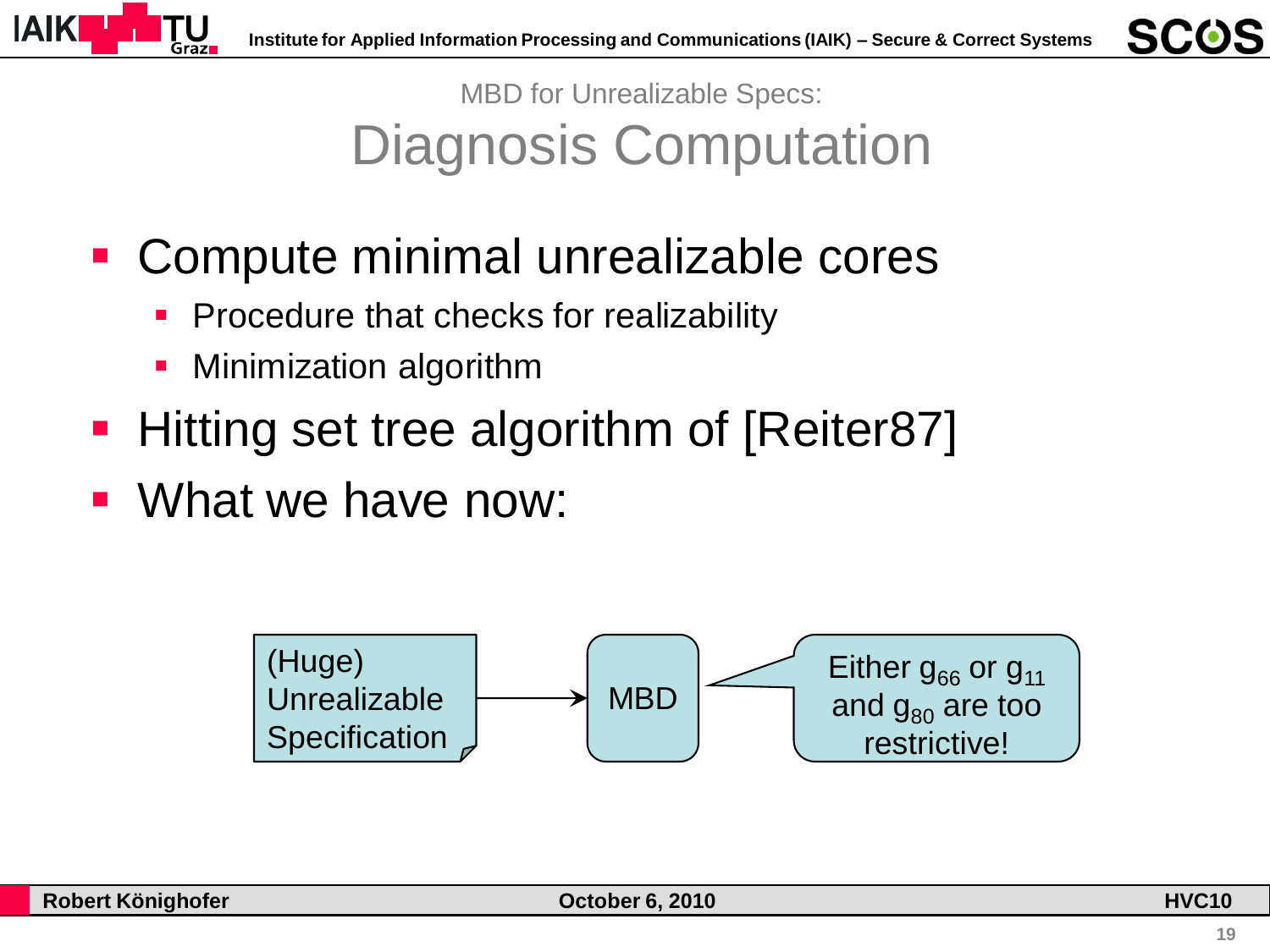

MBD for Unrealizable Specs: Diagnosis Computation

- Compute minimal unrealizable cores
	- Procedure that checks for realizability
	- Minimization algorithm
- **Hitting set tree algorithm of [Reiter87]**
- What we have now:

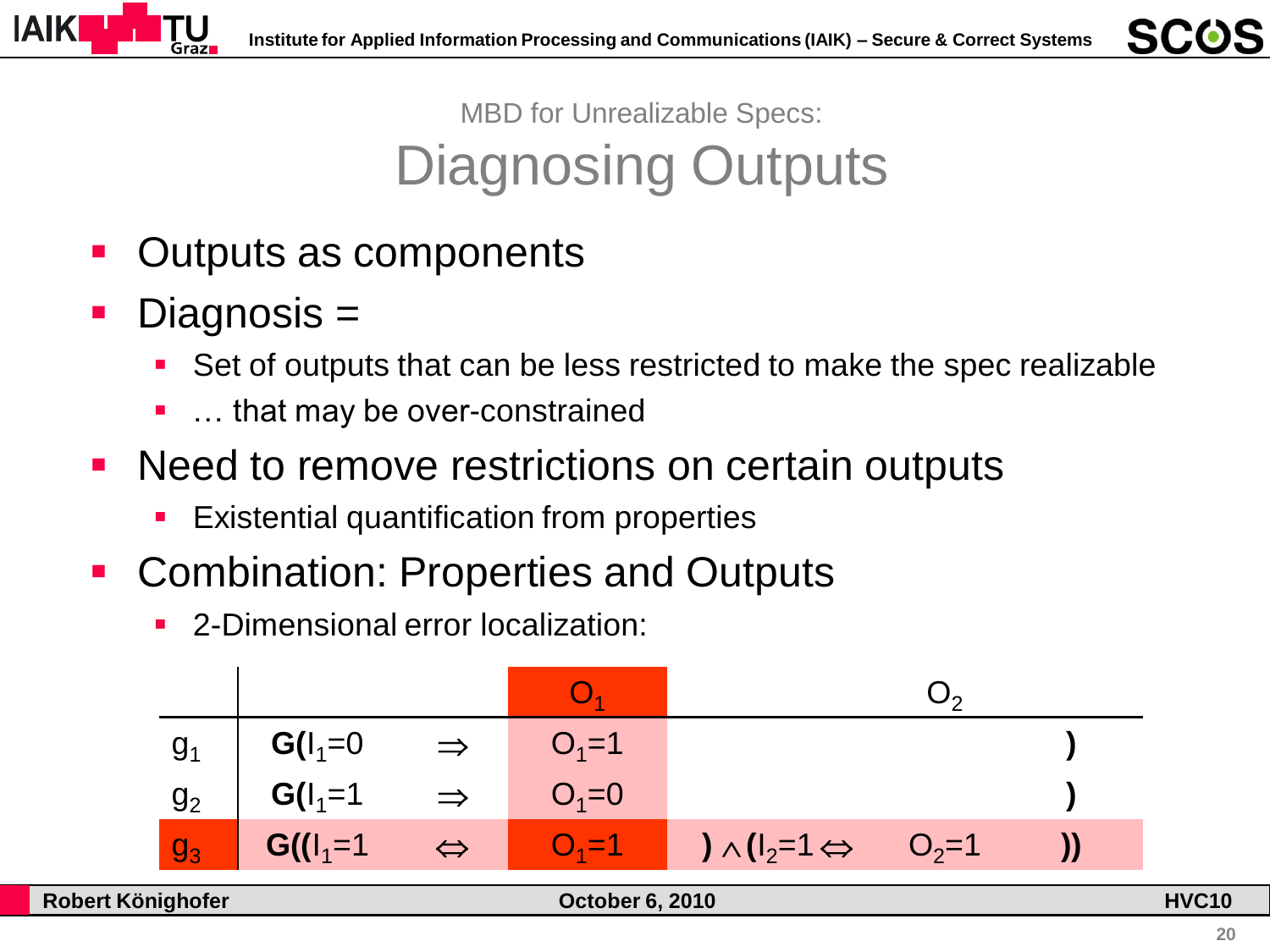

MBD for Unrealizable Specs: Diagnosing Outputs

- Outputs as components
- Diagnosis =
	- Set of outputs that can be less restricted to make the spec realizable
	- … that may be over-constrained
- Need to remove restrictions on certain outputs
	- Existential quantification from properties
- Combination: Properties and Outputs
	- 2-Dimensional error localization:

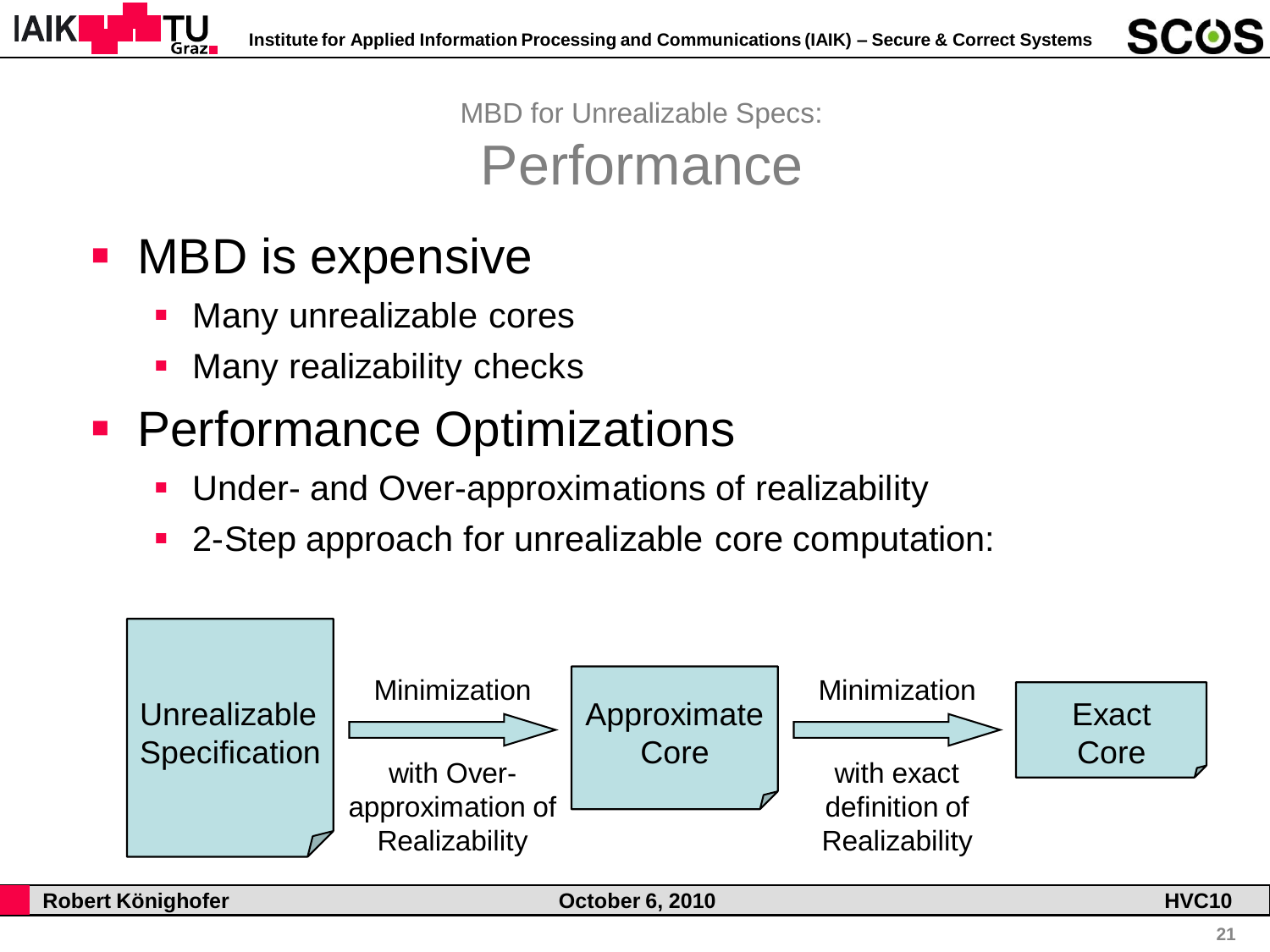

MBD for Unrealizable Specs: Performance

- MBD is expensive
	- Many unrealizable cores
	- Many realizability checks
- **Performance Optimizations** 
	- **Under- and Over-approximations of realizability**
	- 2-Step approach for unrealizable core computation:

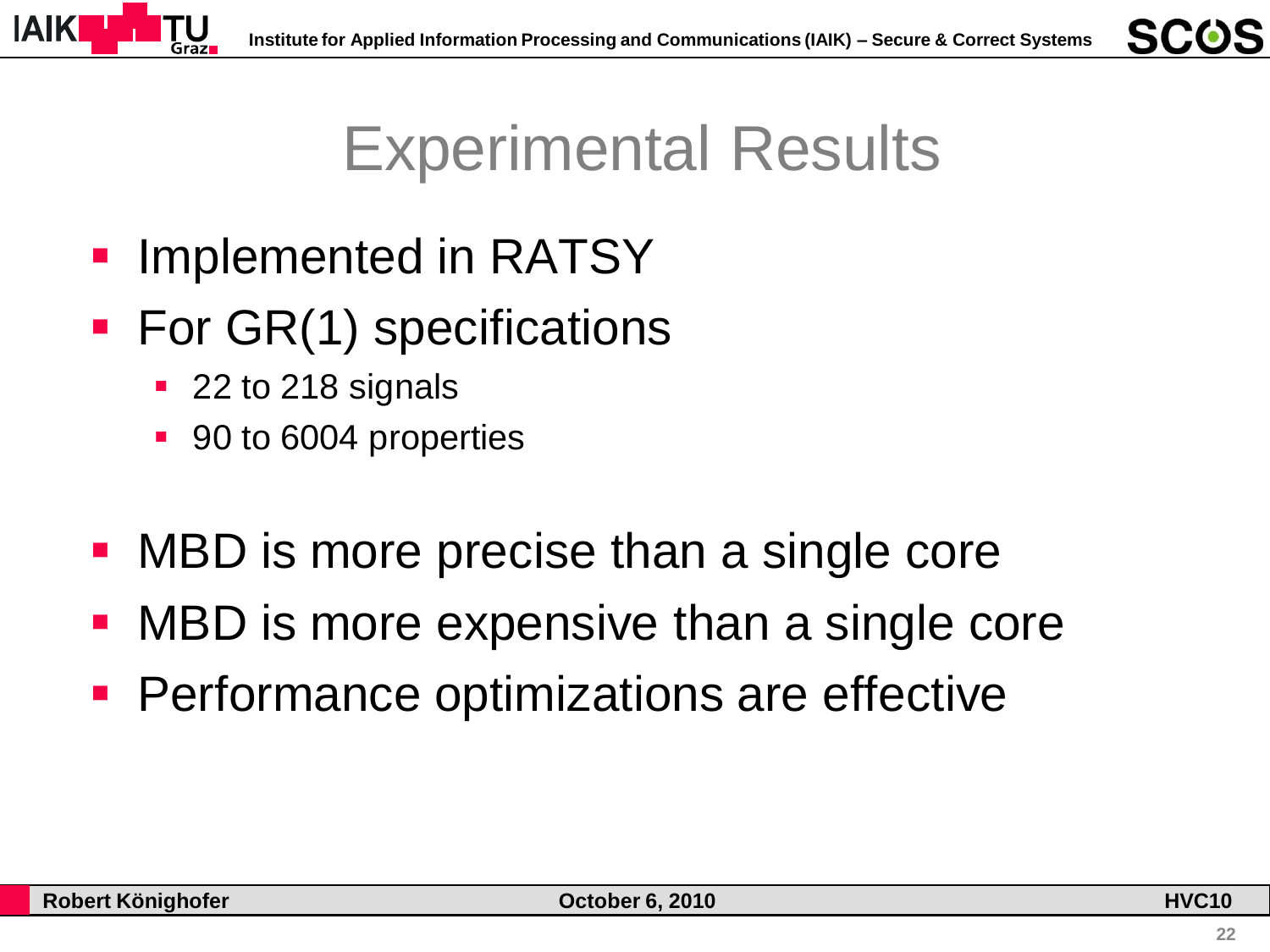



- Implemented in RATSY
- For GR(1) specifications
	- 22 to 218 signals
	- 90 to 6004 properties
- MBD is more precise than a single core
- MBD is more expensive than a single core
- **Performance optimizations are effective**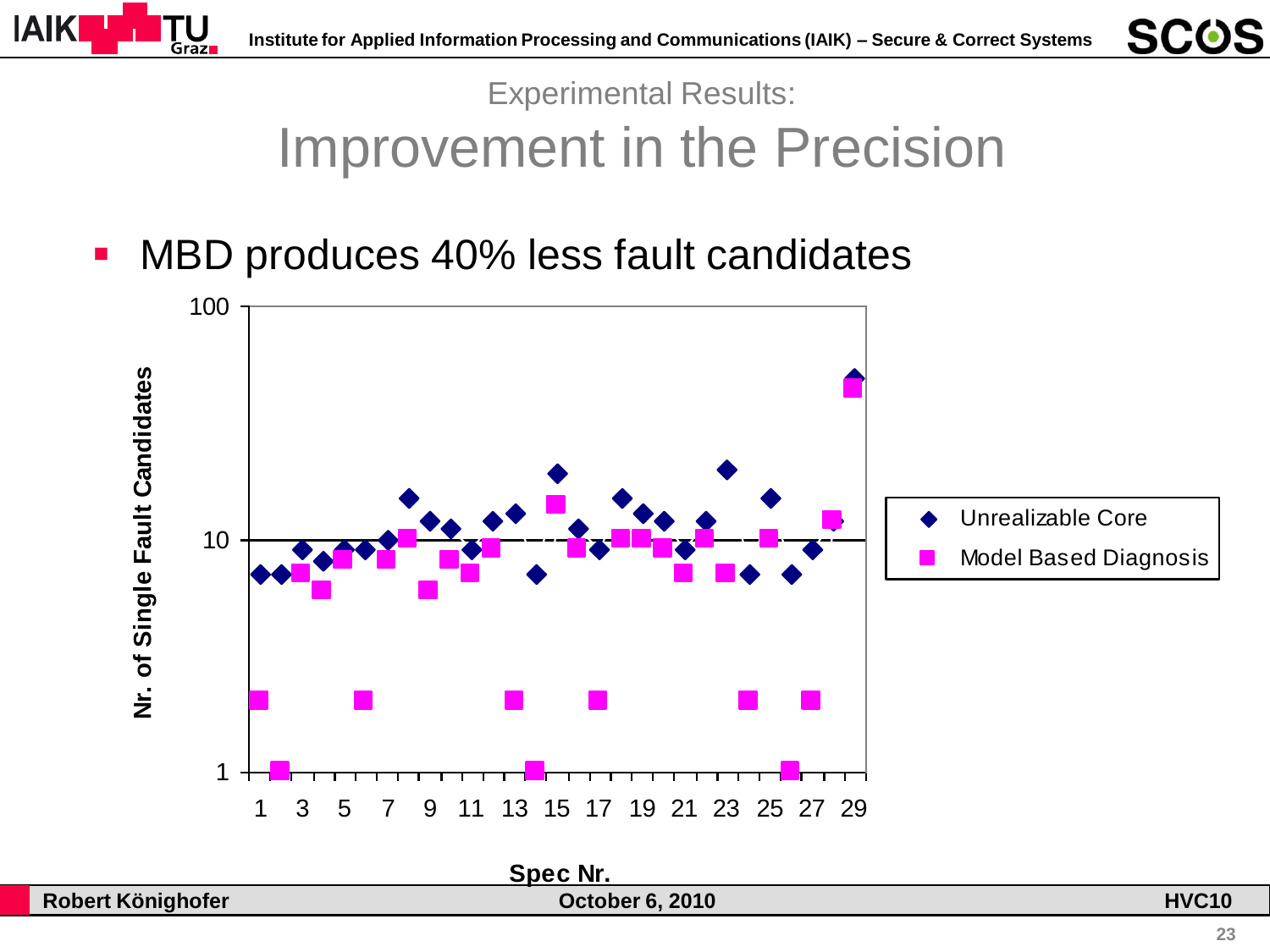



# Improvement in the Precision

**NBD produces 40% less fault candidates** 

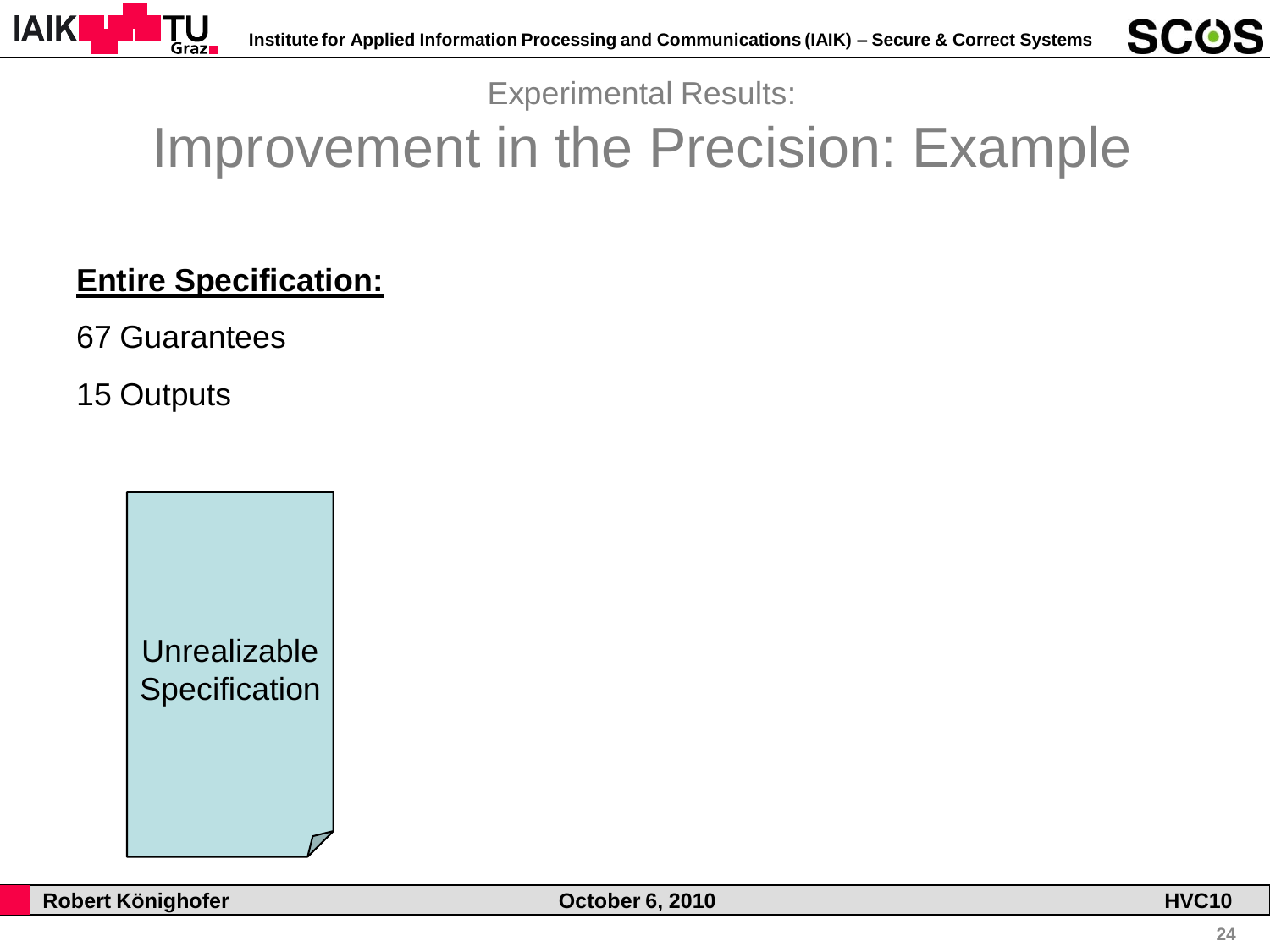

# Improvement in the Precision: Example

#### **Entire Specification:**

67 Guarantees

15 Outputs

Unrealizable **Specification**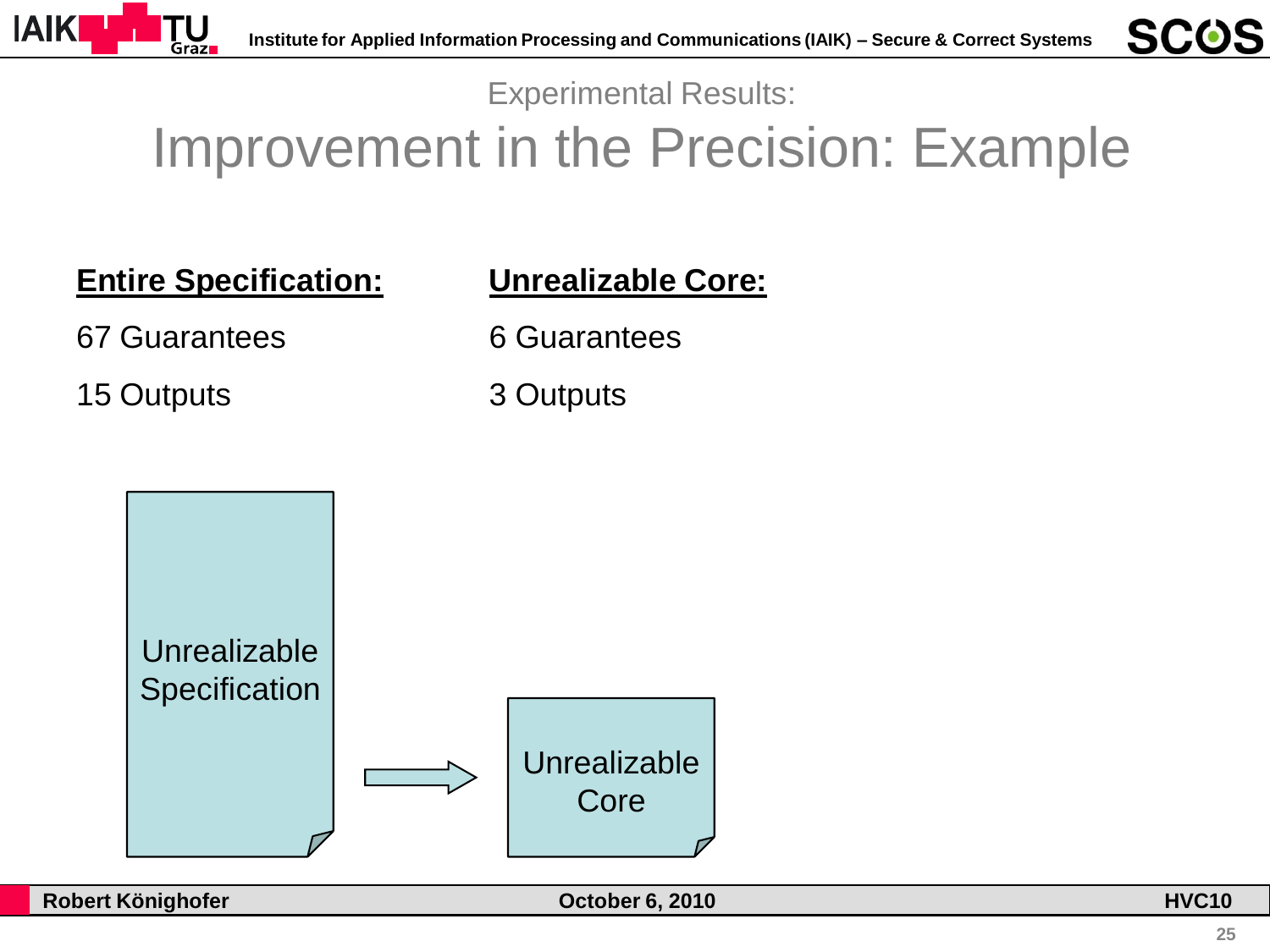

# Improvement in the Precision: Example

**Entire Specification:**

#### **Unrealizable Core:**

67 Guarantees

6 Guarantees

3 Outputs

15 Outputs

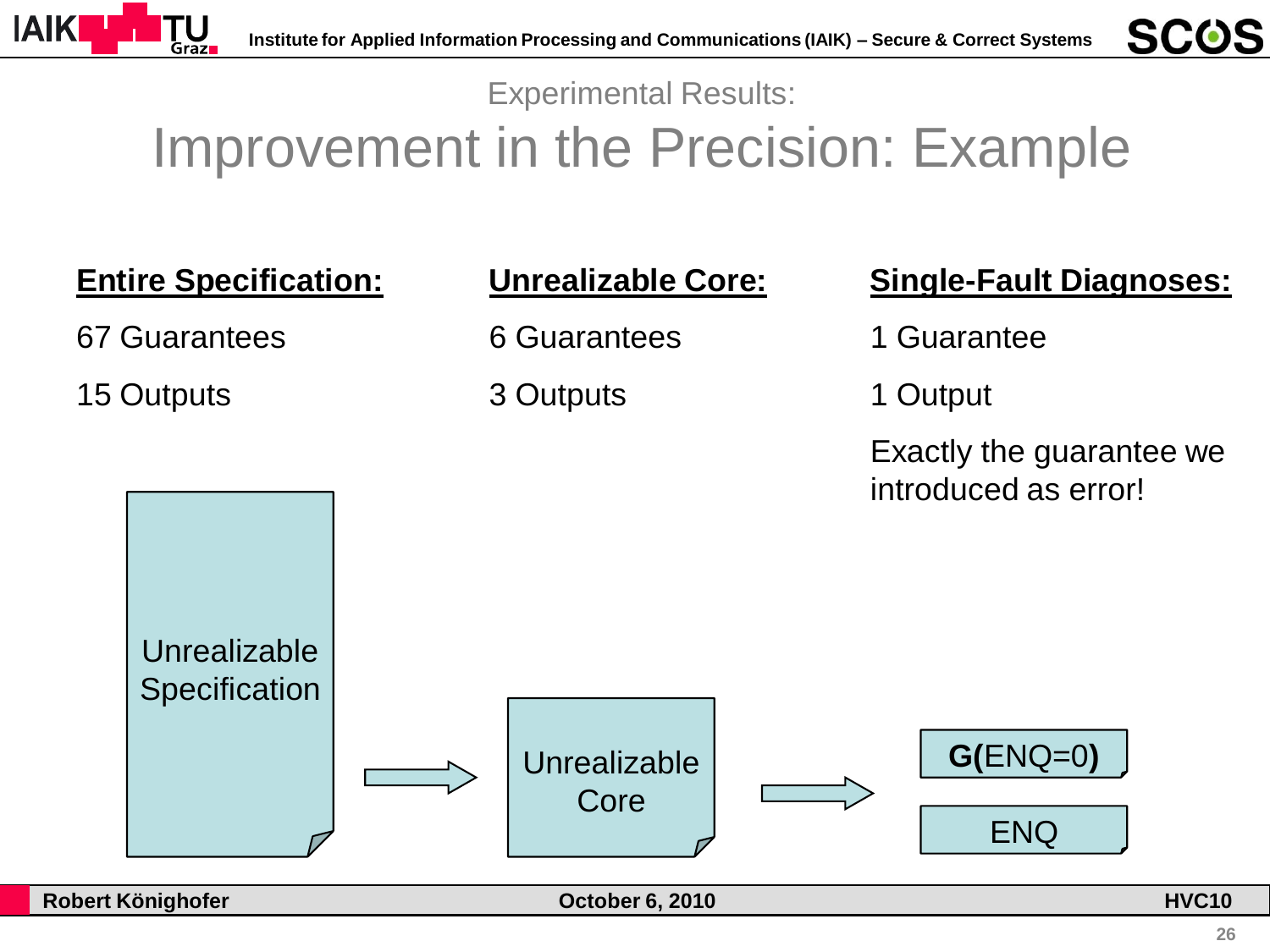

# Improvement in the Precision: Example

**Entire Specification:**

67 Guarantees

15 Outputs

**Unrealizable Core:**

6 Guarantees

3 Outputs

**Single-Fault Diagnoses:**

1 Guarantee

1 Output

Exactly the guarantee we introduced as error!



**Robert Könighofer October 6, 2010 HVC10**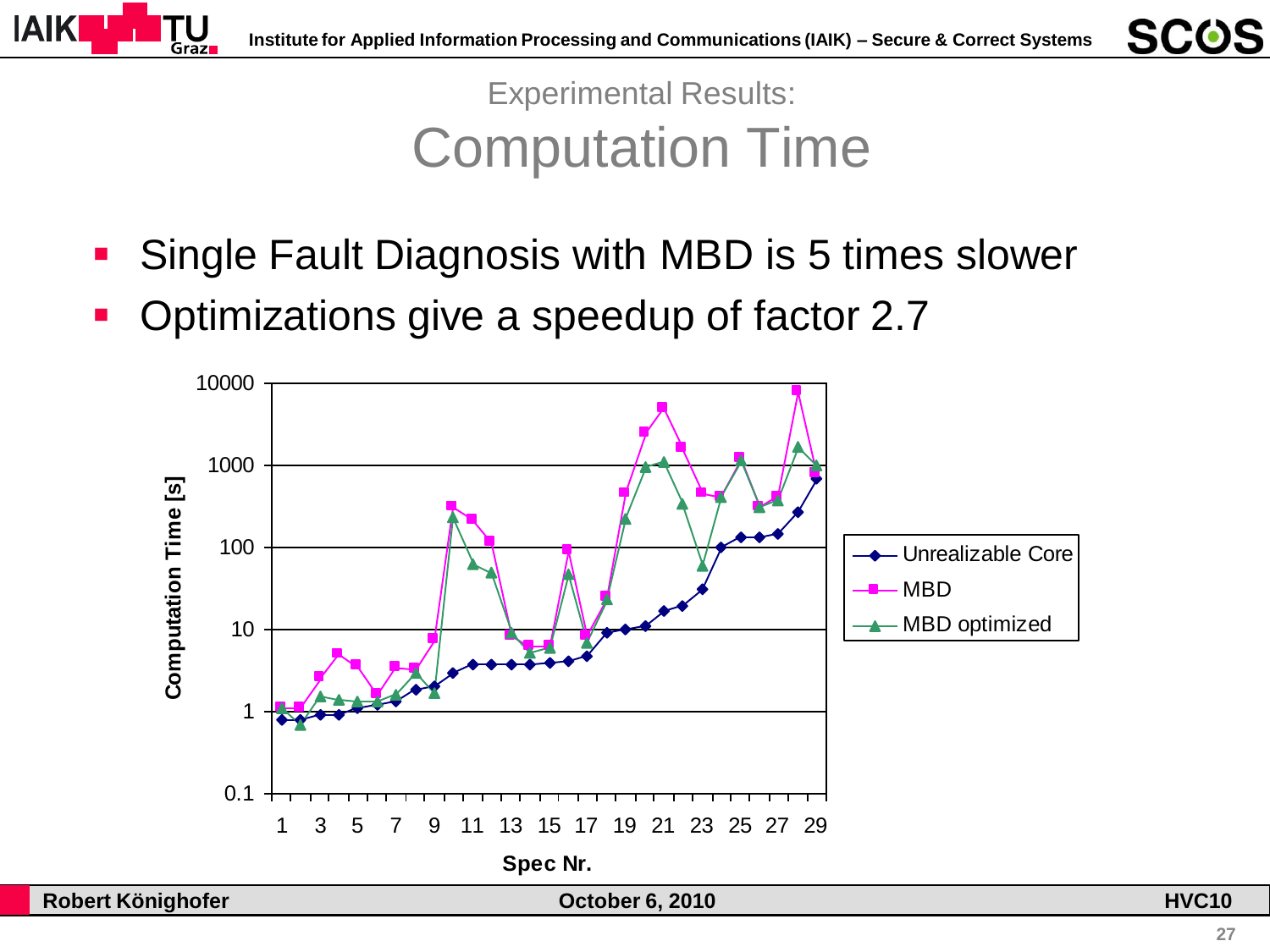

Experimental Results: Computation Time

- **Single Fault Diagnosis with MBD is 5 times slower**
- Optimizations give a speedup of factor 2.7

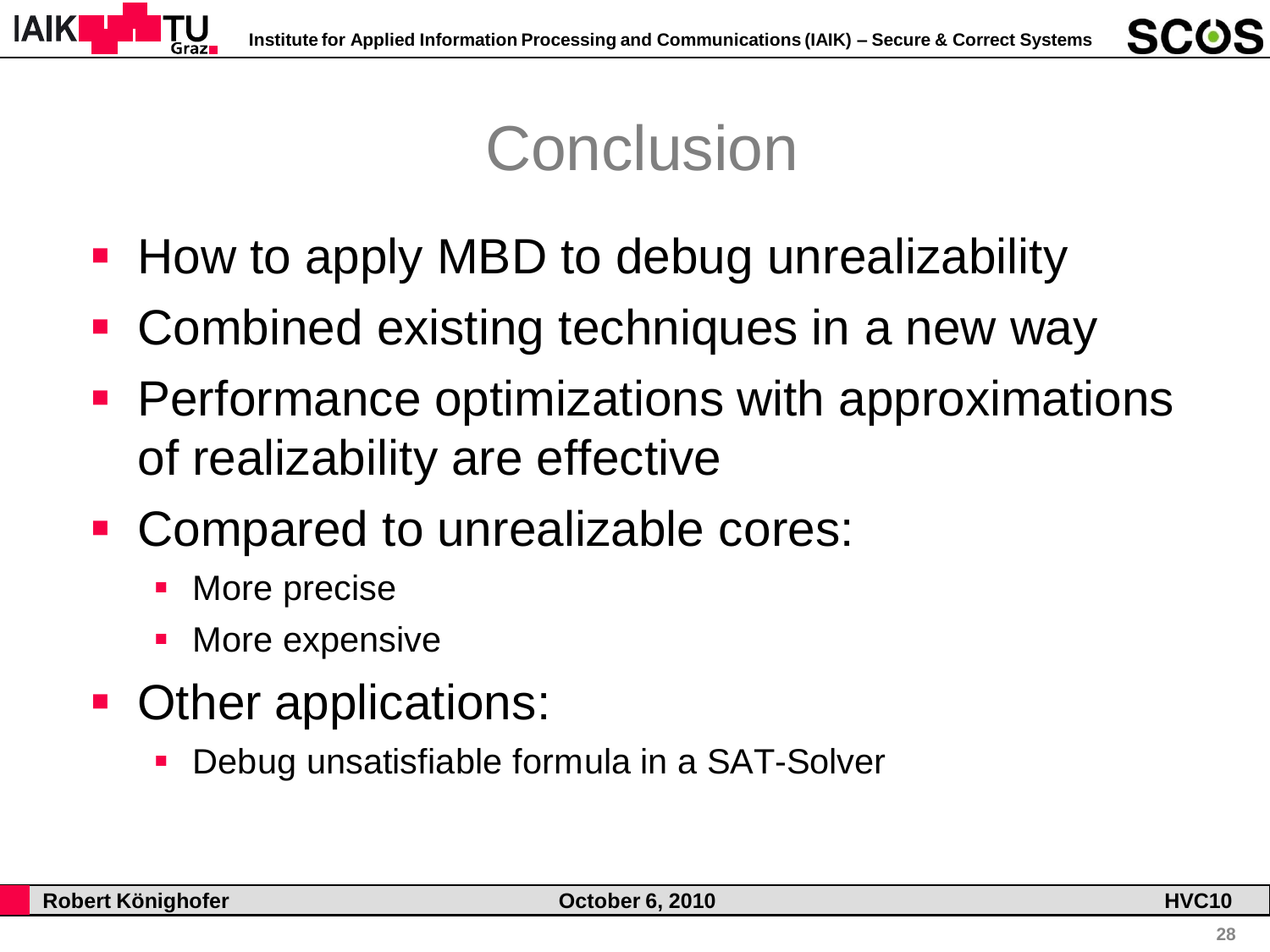

# Conclusion

- **How to apply MBD to debug unrealizability**
- Combined existing techniques in a new way
- **Performance optimizations with approximations** of realizability are effective
- Compared to unrealizable cores:
	- More precise
	- More expensive
- Other applications:
	- Debug unsatisfiable formula in a SAT-Solver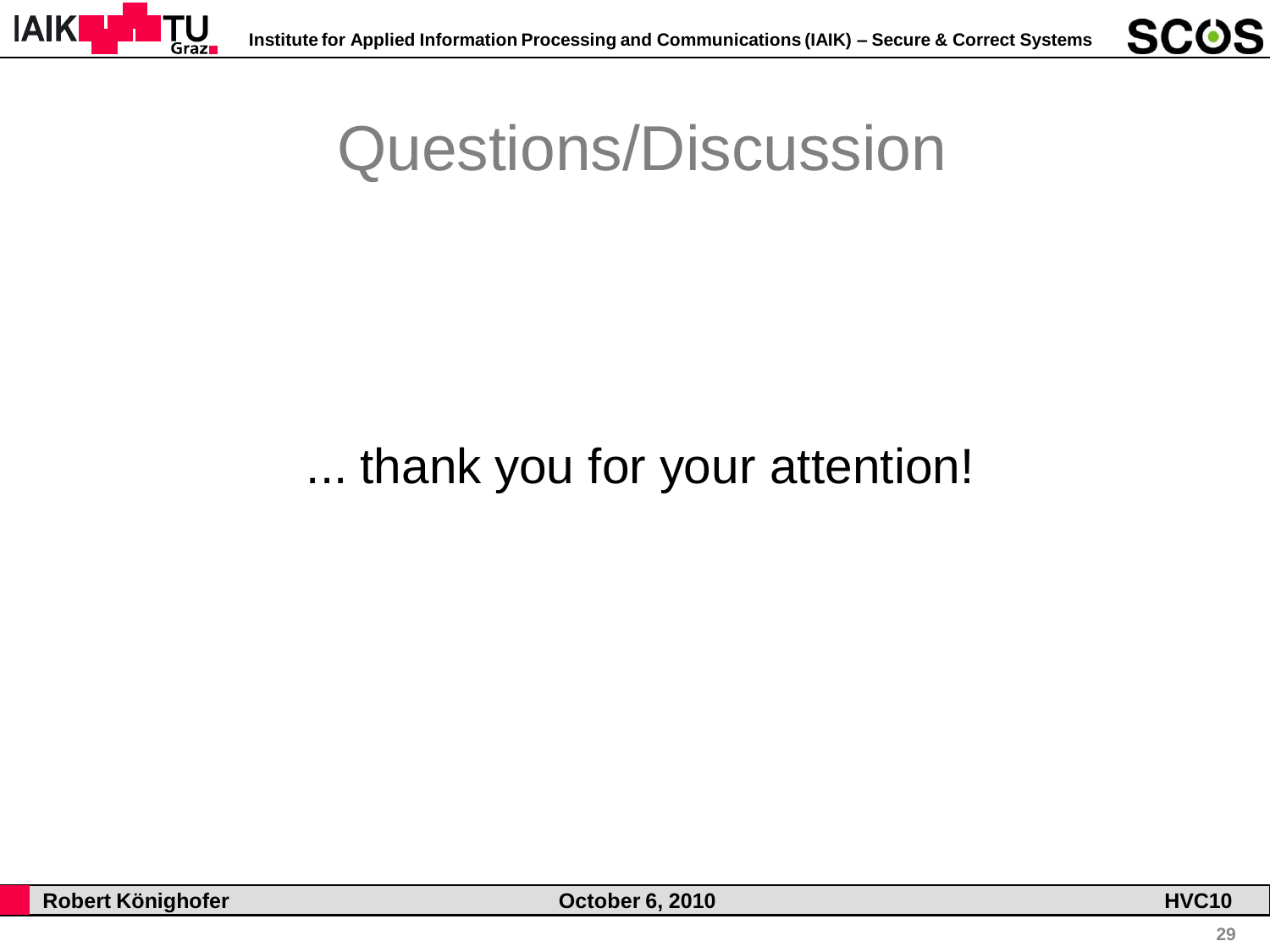



# Questions/Discussion

#### ... thank you for your attention!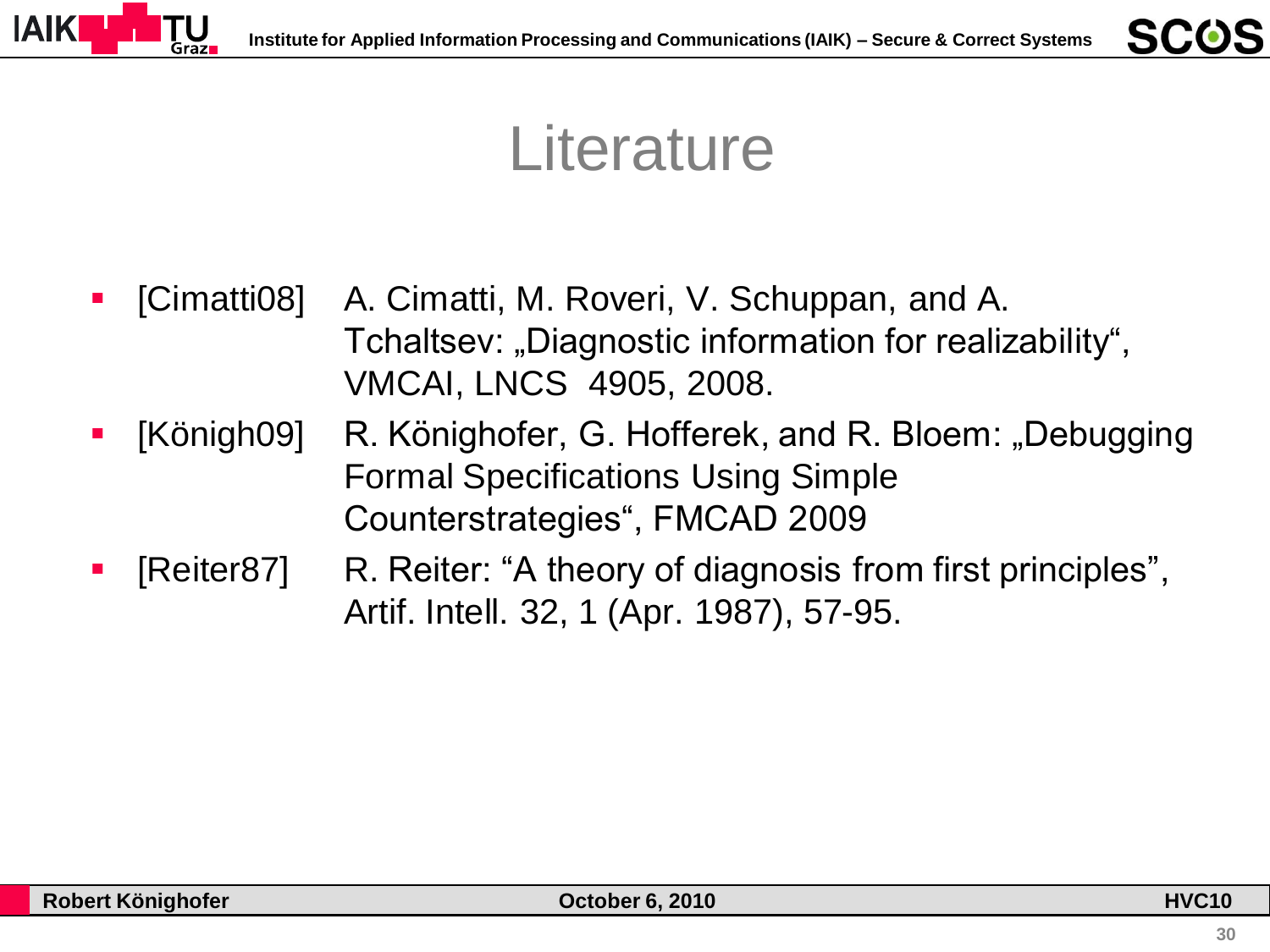

## **Literature**

- [Cimatti08] A. Cimatti, M. Roveri, V. Schuppan, and A. Tchaltsev: "Diagnostic information for realizability", VMCAI, LNCS 4905, 2008.
- [Königh09] R. Könighofer, G. Hofferek, and R. Bloem: "Debugging Formal Specifications Using Simple Counterstrategies", FMCAD 2009
- [Reiter87] R. Reiter: "A theory of diagnosis from first principles", Artif. Intell. 32, 1 (Apr. 1987), 57-95.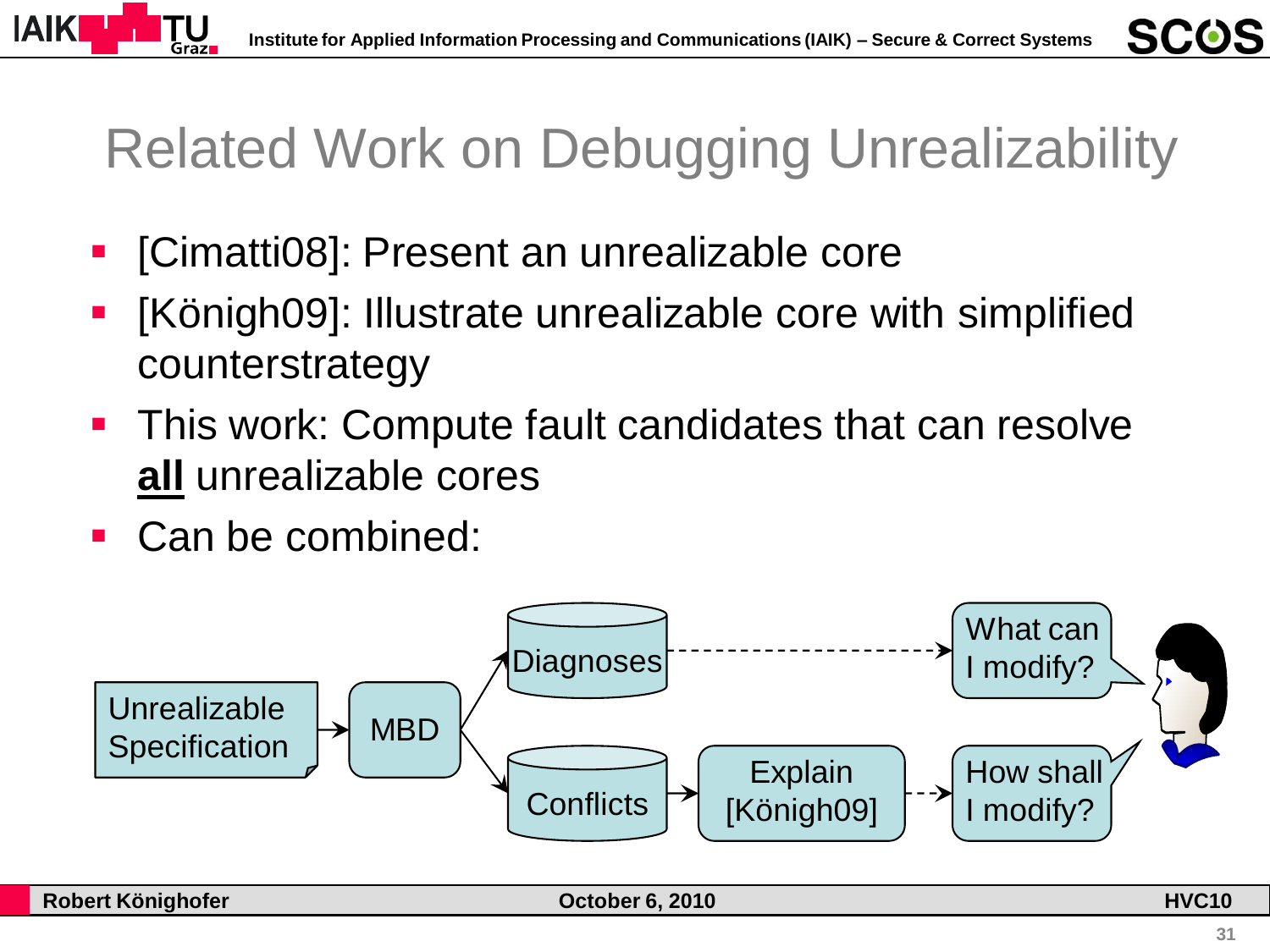

# Related Work on Debugging Unrealizability

- [Cimatti08]: Present an unrealizable core
- [Königh09]: Illustrate unrealizable core with simplified counterstrategy
- **This work: Compute fault candidates that can resolve all** unrealizable cores
- Can be combined:

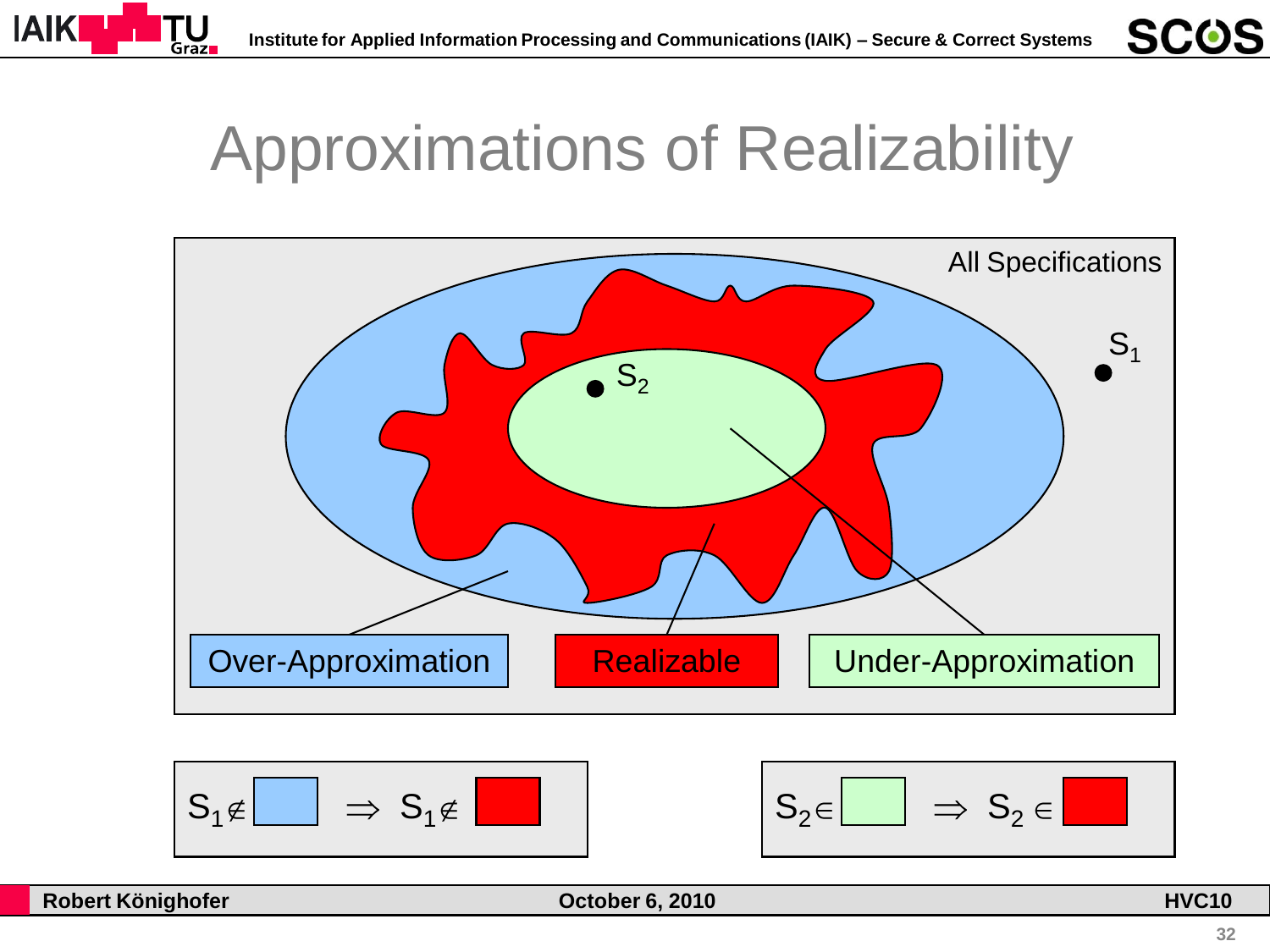

# Approximations of Realizability







**SCOS**